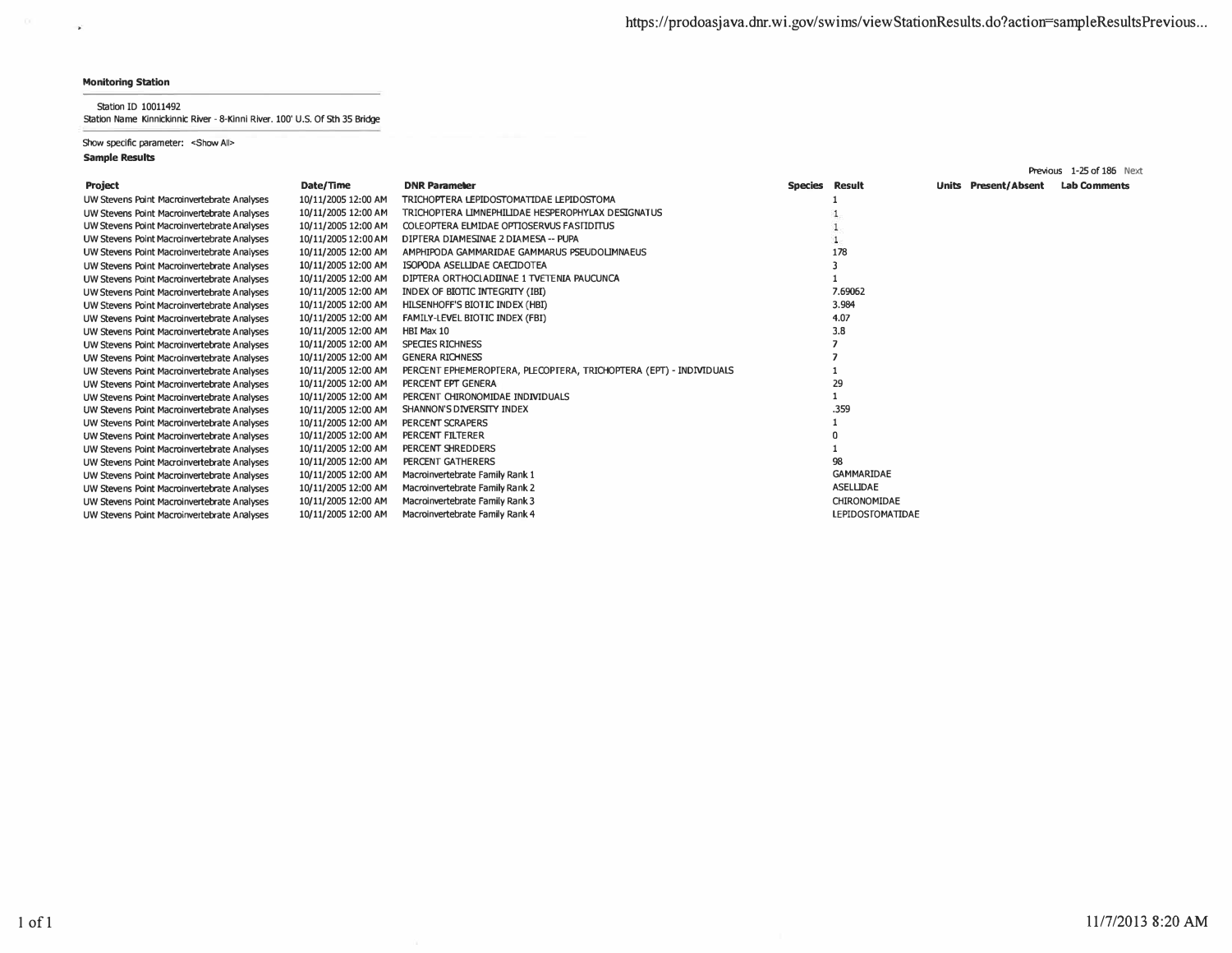$\mathbf{r}$ 

Station ID 10011492

station Name Kinnickinnic River - 8-Kinni River. 100' U.S. Of 5th 35 Bridge

Show specific parameter: <Show All>

|                                             |                     |                                                                    |                |                         |       |                       | Previous 1-25 of 186 Next |
|---------------------------------------------|---------------------|--------------------------------------------------------------------|----------------|-------------------------|-------|-----------------------|---------------------------|
| Project                                     | Date/Time           | <b>DNR Parameter</b>                                               | Species Result |                         | Units | <b>Present/Absent</b> | <b>Lab Comments</b>       |
| UW Stevens Point Macroinvertebrate Analyses | 10/11/2005 12:00 AM | TRICHOPTERA LEPIDOSTOMATIDAE LEPIDOSTOMA                           |                |                         |       |                       |                           |
| UW Stevens Point Macroinvertebrate Analyses | 10/11/2005 12:00 AM | TRICHOPTERA LIMNEPHILIDAE HESPEROPHYLAX DESIGNATUS                 |                |                         |       |                       |                           |
| UW Stevens Point Macroinvertebrate Analyses | 10/11/2005 12:00 AM | COLEOPTERA ELMIDAE OPTIOSERVUS FASTIDITUS                          |                |                         |       |                       |                           |
| UW Stevens Point Macroinvertebrate Analyses | 10/11/2005 12:00 AM | DIPTERA DIAMESINAE 2 DIAMESA -- PUPA                               |                |                         |       |                       |                           |
| UW Stevens Point Macroinvertebrate Analyses | 10/11/2005 12:00 AM | AMPHIPODA GAMMARIDAE GAMMARUS PSEUDOLIMNAEUS                       |                | 178                     |       |                       |                           |
| UW Stevens Point Macroinvertebrate Analyses | 10/11/2005 12:00 AM | ISOPODA ASELLIDAE CAECIDOTEA                                       |                |                         |       |                       |                           |
| UW Stevens Point Macroinvertebrate Analyses | 10/11/2005 12:00 AM | DIPTERA ORTHOCLADIINAE 1 TVETENIA PAUCUNCA                         |                |                         |       |                       |                           |
| UW Stevens Point Macroinvertebrate Analyses | 10/11/2005 12:00 AM | INDEX OF BIOTIC INTEGRITY (IBI)                                    |                | 7.69062                 |       |                       |                           |
| UW Stevens Point Macroinvertebrate Analyses | 10/11/2005 12:00 AM | HILSENHOFF'S BIOTIC INDEX (HBI)                                    |                | 3.984                   |       |                       |                           |
| UW Stevens Point Macroinvertebrate Analyses | 10/11/2005 12:00 AM | <b>FAMILY-LEVEL BIOTIC INDEX (FBI)</b>                             |                | 4.07                    |       |                       |                           |
| UW Stevens Point Macroinvertebrate Analyses | 10/11/2005 12:00 AM | HBI Max 10                                                         |                | 3.8                     |       |                       |                           |
| UW Stevens Point Macroinvertebrate Analyses | 10/11/2005 12:00 AM | SPECIES RICHNESS                                                   |                |                         |       |                       |                           |
| UW Stevens Point Macroinvertebrate Analyses | 10/11/2005 12:00 AM | <b>GENERA RICHNESS</b>                                             |                |                         |       |                       |                           |
| UW Stevens Point Macroinvertebrate Analyses | 10/11/2005 12:00 AM | PERCENT EPHEMEROPTERA, PLECOPTERA, TRICHOPTERA (EPT) - INDIVIDUALS |                |                         |       |                       |                           |
| UW Stevens Point Macroinvertebrate Analyses | 10/11/2005 12:00 AM | PERCENT EPT GENERA                                                 |                | 29                      |       |                       |                           |
| UW Stevens Point Macroinvertebrate Analyses | 10/11/2005 12:00 AM | PERCENT CHIRONOMIDAE INDIVIDUALS                                   |                |                         |       |                       |                           |
| UW Stevens Point Macroinvertebrate Analyses | 10/11/2005 12:00 AM | SHANNON'S DIVERSITY INDEX                                          |                | .359                    |       |                       |                           |
| UW Stevens Point Macroinvertebrate Analyses | 10/11/2005 12:00 AM | PERCENT SCRAPERS                                                   |                |                         |       |                       |                           |
| UW Stevens Point Macroinvertebrate Analyses | 10/11/2005 12:00 AM | PERCENT FILTERER                                                   |                |                         |       |                       |                           |
| UW Stevens Point Macroinvertebrate Analyses | 10/11/2005 12:00 AM | PERCENT SHREDDERS                                                  |                |                         |       |                       |                           |
| UW Stevens Point Macroinvertebrate Analyses | 10/11/2005 12:00 AM | PERCENT GATHERERS                                                  |                | 98                      |       |                       |                           |
| UW Stevens Point Macroinvertebrate Analyses | 10/11/2005 12:00 AM | Macroinvertebrate Family Rank 1                                    |                | <b>GAMMARIDAE</b>       |       |                       |                           |
| UW Stevens Point Macroinvertebrate Analyses | 10/11/2005 12:00 AM | Macroinvertebrate Family Rank 2                                    |                | <b>ASELLIDAE</b>        |       |                       |                           |
| UW Stevens Point Macroinvertebrate Analyses | 10/11/2005 12:00 AM | Macroinvertebrate Family Rank 3                                    |                | CHIRONOMIDAE            |       |                       |                           |
| UW Stevens Point Macroinvertebrate Analyses | 10/11/2005 12:00 AM | Macroinvertebrate Family Rank 4                                    |                | <b>LEPIDOSTOMATIDAE</b> |       |                       |                           |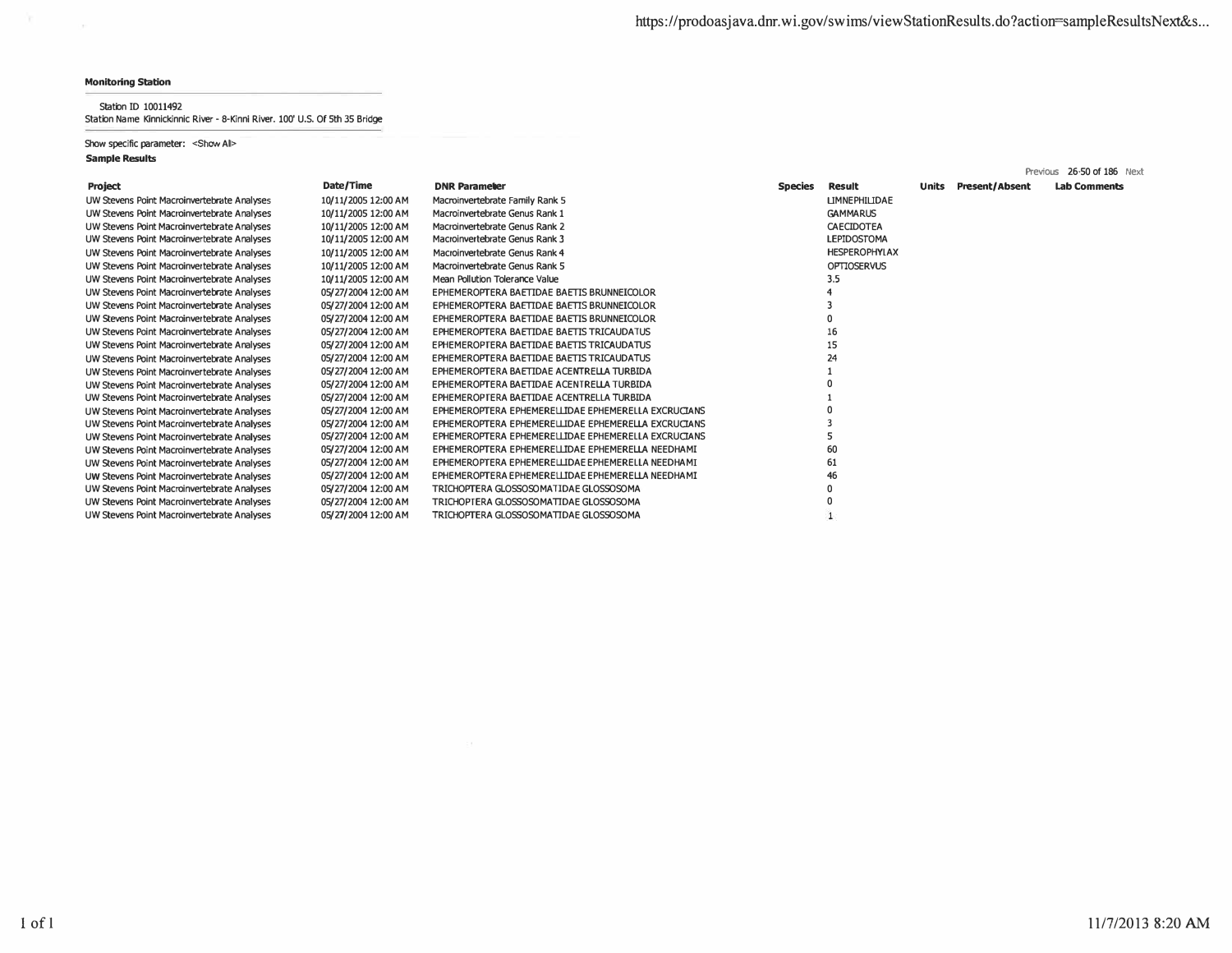$\sim$ 

**Station ID 10011492 Station Name Kinnickinnic River - 8-Kinni River. 100' U.S. Of 5th 35 Bridge** 

**Show specific parameter: <Show All>** 

|                                             |                     |                                                     |                |                      |       |                       | Previous 26-50 of 186 Next |
|---------------------------------------------|---------------------|-----------------------------------------------------|----------------|----------------------|-------|-----------------------|----------------------------|
| <b>Project</b>                              | Date/Time           | <b>DNR Parameter</b>                                | <b>Species</b> | Result               | Units | <b>Present/Absent</b> | <b>Lab Comments</b>        |
| UW Stevens Point Macroinvertebrate Analyses | 10/11/2005 12:00 AM | Macroinvertebrate Family Rank 5                     |                | <b>ЦМNEPHILIDAE</b>  |       |                       |                            |
| UW Stevens Point Macroinvertebrate Analyses | 10/11/2005 12:00 AM | Macroinvertebrate Genus Rank 1                      |                | <b>GAMMARUS</b>      |       |                       |                            |
| UW Stevens Point Macroinvertebrate Analyses | 10/11/2005 12:00 AM | Macroinvertebrate Genus Rank 2                      |                | CAECIDOTEA           |       |                       |                            |
| UW Stevens Point Macroinvertebrate Analyses | 10/11/2005 12:00 AM | Macroinvertebrate Genus Rank 3                      |                | <b>LEPIDOSTOMA</b>   |       |                       |                            |
| UW Stevens Point Macroinvertebrate Analyses | 10/11/2005 12:00 AM | Macroinvertebrate Genus Rank 4                      |                | <b>HESPEROPHYLAX</b> |       |                       |                            |
| UW Stevens Point Macroinvertebrate Analyses | 10/11/2005 12:00 AM | Macroinvertebrate Genus Rank 5                      |                | <b>OPTIOSERVUS</b>   |       |                       |                            |
| UW Stevens Point Macroinvertebrate Analyses | 10/11/2005 12:00 AM | Mean Pollution Tolerance Value                      |                | 3,5                  |       |                       |                            |
| UW Stevens Point Macroinvertebrate Analyses | 05/27/2004 12:00 AM | EPHEMEROPTERA BAETIDAE BAETIS BRUNNEICOLOR          |                |                      |       |                       |                            |
| UW Stevens Point Macroinvertebrate Analyses | 05/27/2004 12:00 AM | EPHEMEROPTERA BAETIDAE BAETIS BRUNNEICOLOR          |                |                      |       |                       |                            |
| UW Stevens Point Macroinvertebrate Analyses | 05/27/2004 12:00 AM | EPHEMEROPTERA BAETIDAE BAETIS BRUNNEICOLOR          |                |                      |       |                       |                            |
| UW Stevens Point Macroinvertebrate Analyses | 05/27/2004 12:00 AM | EPHEMEROPTERA BAETIDAE BAETIS TRICAUDATUS           |                | 16                   |       |                       |                            |
| UW Stevens Point Macroinvertebrate Analyses | 05/27/2004 12:00 AM | EPHEMEROPTERA BAETIDAE BAETIS TRICAUDATUS           |                | 15                   |       |                       |                            |
| UW Stevens Point Macroinvertebrate Analyses | 05/27/2004 12:00 AM | EPHEMEROPTERA BAETIDAE BAETIS TRICAUDATUS           |                | 24                   |       |                       |                            |
| UW Stevens Point Macroinvertebrate Analyses | 05/27/2004 12:00 AM | EPHEMEROPTERA BAETIDAE ACENTRELLA TURBIDA           |                |                      |       |                       |                            |
| UW Stevens Point Macroinvertebrate Analyses | 05/27/2004 12:00 AM | EPHEMEROPTERA BAETIDAE ACENTRELLA TURBIDA           |                |                      |       |                       |                            |
| UW Stevens Point Macroinvertebrate Analyses | 05/27/2004 12:00 AM | EPHEMEROPTERA BAETIDAE ACENTRELLA TURBIDA           |                |                      |       |                       |                            |
| UW Stevens Point Macroinvertebrate Analyses | 05/27/2004 12:00 AM | EPHEMEROPTERA EPHEMERELLIDAE EPHEMERELLA EXCRUCIANS |                |                      |       |                       |                            |
| UW Stevens Point Macroinvertebrate Analyses | 05/27/2004 12:00 AM | EPHEMEROPTERA EPHEMERELLIDAE EPHEMERELLA EXCRUCTANS |                |                      |       |                       |                            |
| UW Stevens Point Macroinvertebrate Analyses | 05/27/2004 12:00 AM | EPHEMEROPTERA EPHEMERELLIDAE EPHEMERELLA EXCRUCIANS |                |                      |       |                       |                            |
| UW Stevens Point Macroinvertebrate Analyses | 05/27/2004 12:00 AM | EPHEMEROPTERA EPHEMERELLIDAE EPHEMERELLA NEEDHAMI   |                | 60                   |       |                       |                            |
| UW Stevens Point Macroinvertebrate Analyses | 05/27/2004 12:00 AM | EPHEMEROPTERA EPHEMERELLIDAE EPHEMERELLA NEEDHAMI   |                | 61                   |       |                       |                            |
| UW Stevens Point Macroinvertebrate Analyses | 05/27/2004 12:00 AM | EPHEMEROPTERA EPHEMERELLIDAE EPHEMERELLA NEEDHAMI   |                | 46                   |       |                       |                            |
| UW Stevens Point Macroinvertebrate Analyses | 05/27/2004 12:00 AM | TRICHOPTERA GLOSSOSOMATIDAE GLOSSOSOMA              |                |                      |       |                       |                            |
| UW Stevens Point Macroinvertebrate Analyses | 05/27/2004 12:00 AM | TRICHOPTERA GLOSSOSOMATIDAE GLOSSOSOMA              |                |                      |       |                       |                            |
| UW Stevens Point Macroinvertebrate Analyses | 05/27/2004 12:00 AM | TRICHOPTERA GLOSSOSOMATIDAE GLOSSOSOMA              |                |                      |       |                       |                            |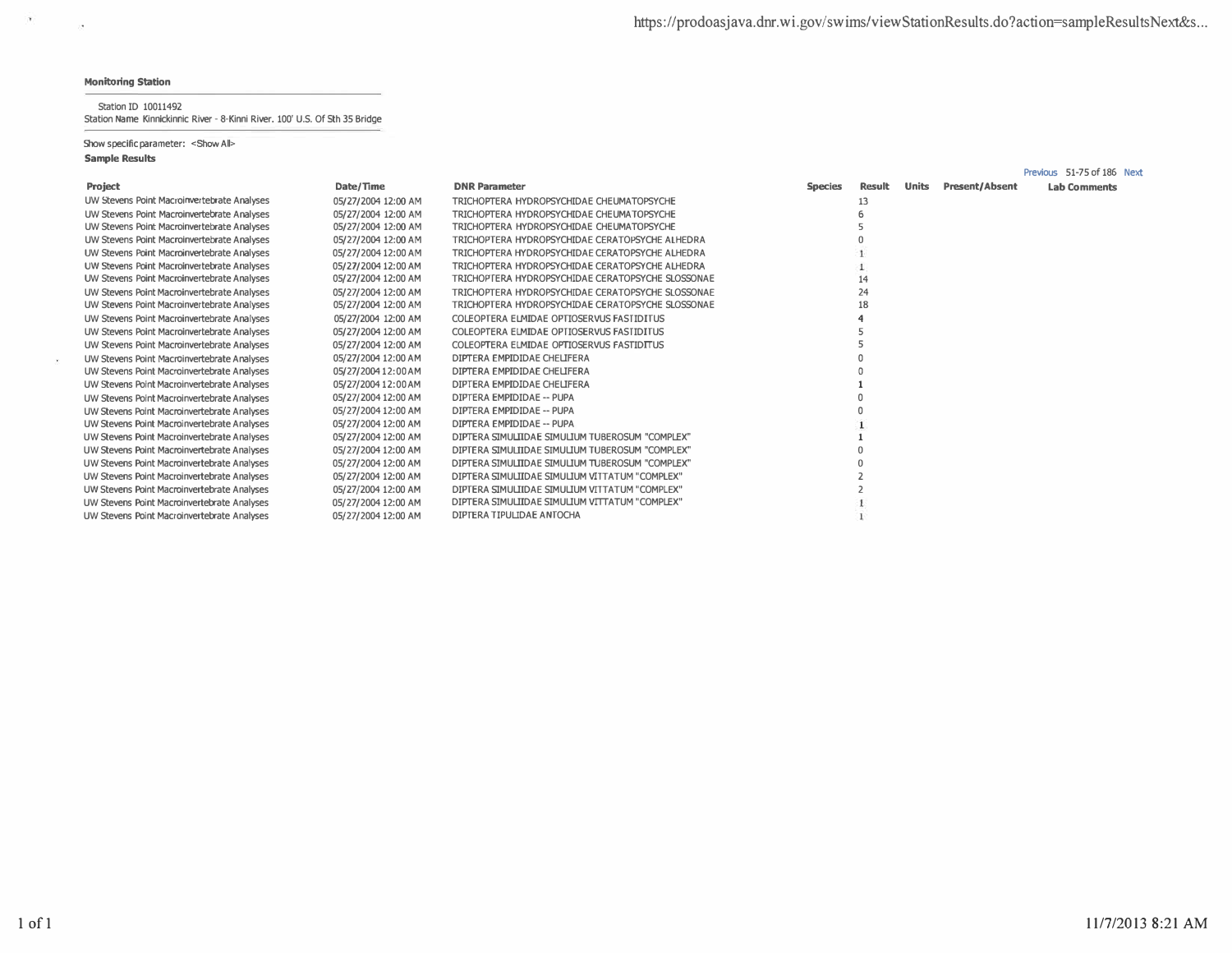$\mathcal{N}_{\rm eff}$  .

 $\sim 10^4$ 

### Station ID 10011492 Station Name Kinnickinnic River - 8-Kinni River. 100' U.S. Of 5th 35 Bridge

Show specific parameter: < Show All>

|                                             |                     |                                                   |                |        |              |                       | Previous 51-75 of 186 Next |
|---------------------------------------------|---------------------|---------------------------------------------------|----------------|--------|--------------|-----------------------|----------------------------|
| Project                                     | Date/Time           | <b>DNR Parameter</b>                              | <b>Species</b> | Result | <b>Units</b> | <b>Present/Absent</b> | <b>Lab Comments</b>        |
| UW Stevens Point Macroinvertebrate Analyses | 05/27/2004 12:00 AM | TRICHOPTERA HYDROPSYCHIDAE CHEUMATOPSYCHE         |                | 13     |              |                       |                            |
| UW Stevens Point Macroinvertebrate Analyses | 05/27/2004 12:00 AM | TRICHOPTERA HYDROPSYCHIDAE CHEUMATOPSYCHE         |                |        |              |                       |                            |
| UW Stevens Point Macroinvertebrate Analyses | 05/27/2004 12:00 AM | TRICHOPTERA HYDROPSYCHIDAE CHEUMATOPSYCHE         |                |        |              |                       |                            |
| UW Stevens Point Macroinvertebrate Analyses | 05/27/2004 12:00 AM | TRICHOPTERA HYDROPSYCHIDAE CERATOPSYCHE ALHEDRA   |                |        |              |                       |                            |
| UW Stevens Point Macroinvertebrate Analyses | 05/27/2004 12:00 AM | TRICHOPTERA HYDROPSYCHIDAE CERATOPSYCHE ALHEDRA   |                |        |              |                       |                            |
| UW Stevens Point Macroinvertebrate Analyses | 05/27/2004 12:00 AM | TRICHOPTERA HYDROPSYCHIDAE CERATOPSYCHE ALHEDRA   |                |        |              |                       |                            |
| UW Stevens Point Macroinvertebrate Analyses | 05/27/2004 12:00 AM | TRICHOPTERA HYDROPSYCHIDAE CERATOPSYCHE SLOSSONAE |                | 14     |              |                       |                            |
| UW Stevens Point Macroinvertebrate Analyses | 05/27/2004 12:00 AM | TRICHOPTERA HYDROPSYCHIDAE CERATOPSYCHE SLOSSONAE |                | 24     |              |                       |                            |
| UW Stevens Point Macroinvertebrate Analyses | 05/27/2004 12:00 AM | TRICHOPTERA HYDROPSYCHIDAE CERATOPSYCHE SLOSSONAE |                | 18     |              |                       |                            |
| UW Stevens Point Macroinvertebrate Analyses | 05/27/2004 12:00 AM | COLEOPTERA ELMIDAE OPTIOSERVUS FASTIDITUS         |                |        |              |                       |                            |
| UW Stevens Point Macroinvertebrate Analyses | 05/27/2004 12:00 AM | COLEOPTERA ELMIDAE OPTIOSERVUS FASTIDITUS         |                |        |              |                       |                            |
| UW Stevens Point Macroinvertebrate Analyses | 05/27/2004 12:00 AM | COLEOPTERA ELMIDAE OPTIOSERVUS FASTIDITUS         |                |        |              |                       |                            |
| UW Stevens Point Macroinvertebrate Analyses | 05/27/2004 12:00 AM | DIPTERA EMPIDIDAE CHELIFERA                       |                |        |              |                       |                            |
| UW Stevens Point Macroinvertebrate Analyses | 05/27/2004 12:00 AM | DIPTERA EMPIDIDAE CHELIFERA                       |                |        |              |                       |                            |
| UW Stevens Point Macroinvertebrate Analyses | 05/27/2004 12:00 AM | DIPTERA EMPIDIDAE CHELIFERA                       |                |        |              |                       |                            |
| UW Stevens Point Macroinvertebrate Analyses | 05/27/2004 12:00 AM | DIPTERA EMPIDIDAE -- PUPA                         |                |        |              |                       |                            |
| UW Stevens Point Macroinvertebrate Analyses | 05/27/2004 12:00 AM | DIPTERA EMPIDIDAE -- PUPA                         |                |        |              |                       |                            |
| UW Stevens Point Macroinvertebrate Analyses | 05/27/2004 12:00 AM | DIPTERA EMPIDIDAE -- PUPA                         |                |        |              |                       |                            |
| UW Stevens Point Macroinvertebrate Analyses | 05/27/2004 12:00 AM | DIPTERA SIMULIIDAE SIMULIUM TUBEROSUM "COMPLEX"   |                |        |              |                       |                            |
| UW Stevens Point Macroinvertebrate Analyses | 05/27/2004 12:00 AM | DIPTERA SIMULIIDAE SIMULIUM TUBEROSUM "COMPLEX"   |                |        |              |                       |                            |
| UW Stevens Point Macroinvertebrate Analyses | 05/27/2004 12:00 AM | DIPTERA SIMULIIDAE SIMULIUM TUBEROSUM "COMPLEX"   |                |        |              |                       |                            |
| UW Stevens Point Macroinvertebrate Analyses | 05/27/2004 12:00 AM | DIPTERA SIMULIIDAE SIMULIUM VITTATUM "COMPLEX"    |                |        |              |                       |                            |
| UW Stevens Point Macroinvertebrate Analyses | 05/27/2004 12:00 AM | DIPTERA SIMULIIDAE SIMULIUM VITTATUM "COMPLEX"    |                |        |              |                       |                            |
| UW Stevens Point Macroinvertebrate Analyses | 05/27/2004 12:00 AM | DIPTERA SIMULIIDAE SIMULIUM VITTATUM "COMPLEX"    |                |        |              |                       |                            |
| UW Stevens Point Macroinvertebrate Analyses | 05/27/2004 12:00 AM | DIPTERA TIPULIDAE ANTOCHA                         |                |        |              |                       |                            |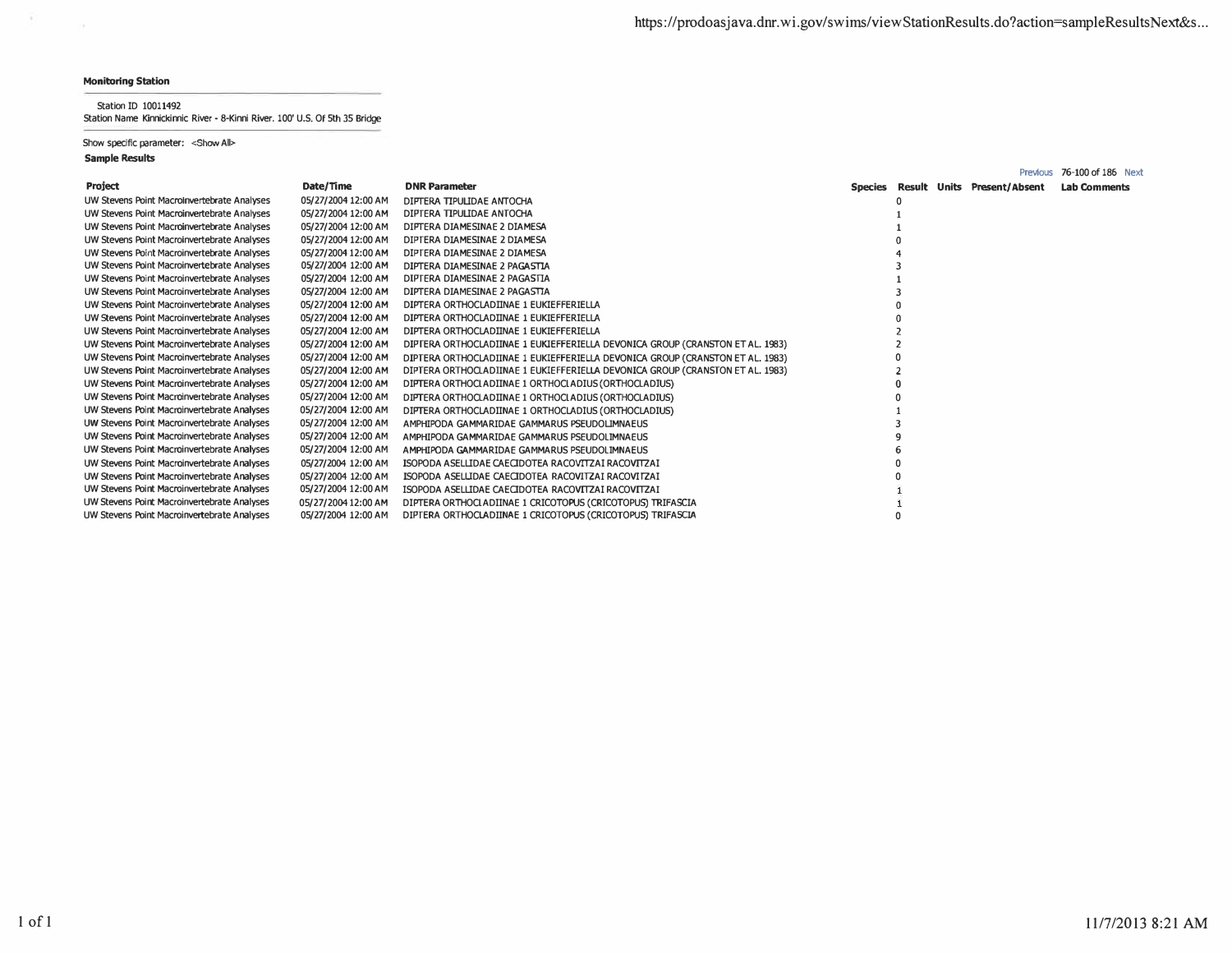$\sim$  5).

 $\sim$ 

**Station ID 10011492 Station Name Kinnickinnic River - 8-Kinni River. 100' U.S. Of 5th 35 Bridge** 

## **Show specific parameter: <Show All>**

|                                             |                     |                                                                               |  |                                     | Previous 76-100 of 186 Next |
|---------------------------------------------|---------------------|-------------------------------------------------------------------------------|--|-------------------------------------|-----------------------------|
| <b>Project</b>                              | Date/Time           | <b>DNR Parameter</b>                                                          |  | Species Result Units Present/Absent | <b>Lab Comments</b>         |
| UW Stevens Point Macroinvertebrate Analyses | 05/27/2004 12:00 AM | DIPTERA TIPULIDAE ANTOCHA                                                     |  |                                     |                             |
| UW Stevens Point Macroinvertebrate Analyses | 05/27/2004 12:00 AM | DIPTERA TIPULIDAE ANTOCHA                                                     |  |                                     |                             |
| UW Stevens Point Macroinvertebrate Analyses | 05/27/2004 12:00 AM | DIPTERA DIAMESINAE 2 DIAMESA                                                  |  |                                     |                             |
| UW Stevens Point Macroinvertebrate Analyses | 05/27/2004 12:00 AM | DIPTERA DIAMESINAE 2 DIAMESA                                                  |  |                                     |                             |
| UW Stevens Point Macroinvertebrate Analyses | 05/27/2004 12:00 AM | DIPTERA DIAMESINAE 2 DIAMESA                                                  |  |                                     |                             |
| UW Stevens Point Macroinvertebrate Analyses | 05/27/2004 12:00 AM | DIPTERA DIAMESINAE 2 PAGASTIA                                                 |  |                                     |                             |
| UW Stevens Point Macroinvertebrate Analyses | 05/27/2004 12:00 AM | DIPTERA DIAMESINAE 2 PAGASTIA                                                 |  |                                     |                             |
| UW Stevens Point Macroinvertebrate Analyses | 05/27/2004 12:00 AM | DIPTERA DIAMESINAE 2 PAGASTIA                                                 |  |                                     |                             |
| UW Stevens Point Macroinvertebrate Analyses | 05/27/2004 12:00 AM | DIPTERA ORTHOCLADIINAE 1 EUKIEFFERIELLA                                       |  |                                     |                             |
| UW Stevens Point Macroinvertebrate Analyses | 05/27/2004 12:00 AM | DIPTERA ORTHOCLADIINAE 1 EUKIEFFERIELLA                                       |  |                                     |                             |
| UW Stevens Point Macroinvertebrate Analyses | 05/27/2004 12:00 AM | DIPTERA ORTHOCLADIINAE 1 EUKIEFFERIELLA                                       |  |                                     |                             |
| UW Stevens Point Macroinvertebrate Analyses | 05/27/2004 12:00 AM | DIPTERA ORTHOCLADIINAE 1 EUKIEFFERIELLA DEVONICA GROUP (CRANSTON ET AL. 1983) |  |                                     |                             |
| UW Stevens Point Macroinvertebrate Analyses | 05/27/2004 12:00 AM | DIPTERA ORTHOCLADIINAE 1 EUKIEFFERIELLA DEVONICA GROUP (CRANSTON ET AL. 1983) |  |                                     |                             |
| UW Stevens Point Macroinvertebrate Analyses | 05/27/2004 12:00 AM | DIPTERA ORTHOCLADIINAE 1 EUKIEFFERIELLA DEVONICA GROUP (CRANSTON ET AL. 1983) |  |                                     |                             |
| UW Stevens Point Macroinvertebrate Analyses | 05/27/2004 12:00 AM | DIPTERA ORTHOCLADIINAE 1 ORTHOCLADIUS (ORTHOCLADIUS)                          |  |                                     |                             |
| UW Stevens Point Macroinvertebrate Analyses | 05/27/2004 12:00 AM | DIFTERA ORTHOCLADIINAE 1 ORTHOCLADIUS (ORTHOCLADIUS)                          |  |                                     |                             |
| UW Stevens Point Macroinvertebrate Analyses | 05/27/2004 12:00 AM | DIPTERA ORTHOCLADIINAE 1 ORTHOCLADIUS (ORTHOCLADIUS)                          |  |                                     |                             |
| UW Stevens Point Macroinvertebrate Analyses | 05/27/2004 12:00 AM | AMPHIPODA GAMMARIDAE GAMMARUS PSEUDOLIMNAEUS                                  |  |                                     |                             |
| UW Stevens Point Macroinvertebrate Analyses | 05/27/2004 12:00 AM | AMPHIPODA GAMMARIDAE GAMMARUS PSEUDOLIMNAEUS                                  |  |                                     |                             |
| UW Stevens Point Macroinvertebrate Analyses | 05/27/2004 12:00 AM | AMPHIPODA GAMMARIDAE GAMMARUS PSEUDOLIMNAEUS                                  |  |                                     |                             |
| UW Stevens Point Macroinvertebrate Analyses | 05/27/2004 12:00 AM | ISOPODA ASELLIDAE CAECIDOTEA RACOVITZAI RACOVITZAI                            |  |                                     |                             |
| UW Stevens Point Macroinvertebrate Analyses | 05/27/2004 12:00 AM | ISOPODA ASELLIDAE CAECIDOTEA RACOVITZAI RACOVITZAI                            |  |                                     |                             |
| UW Stevens Point Macroinvertebrate Analyses | 05/27/2004 12:00 AM | ISOPODA ASELLIDAE CAECIDOTEA RACOVITZAI RACOVITZAI                            |  |                                     |                             |
| UW Stevens Point Macroinvertebrate Analyses | 05/27/2004 12:00 AM | DIPTERA ORTHOCLADIINAE 1 CRICOTOPUS (CRICOTOPUS) TRIFASCIA                    |  |                                     |                             |
| UW Stevens Point Macroinvertebrate Analyses | 05/27/2004 12:00 AM | DIPTERA ORTHOCLADIINAE 1 CRICOTOPUS (CRICOTOPUS) TRIFASCIA                    |  |                                     |                             |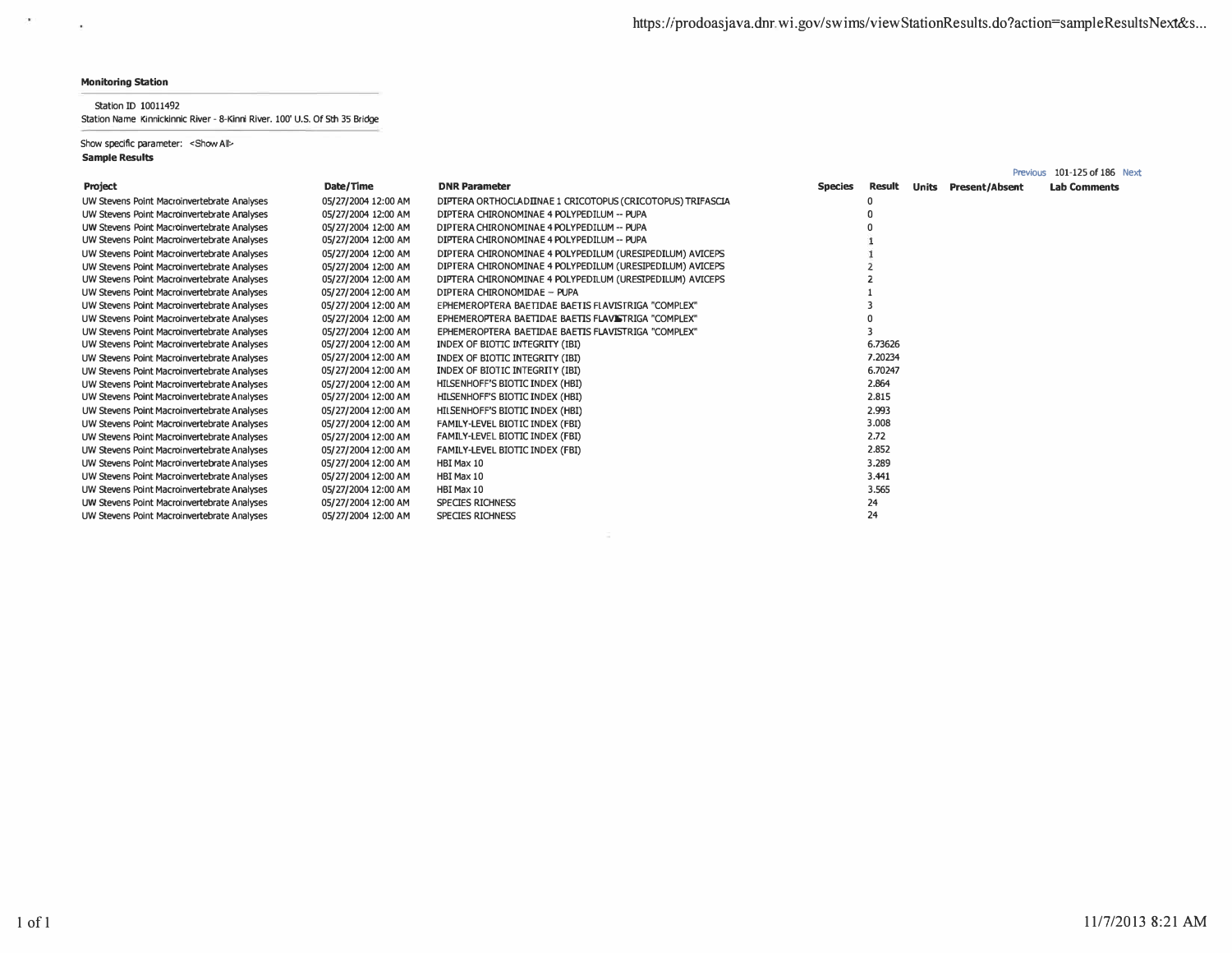$\sim$ 

 $\sim 100$ 

## **Station ID 10011492**

**Station Name Kinnickinnic River - 8-Kinni River. 100' U.S. Of 5th 35 Bridge** 

**Show specific parameter: <Show All>** 

|                                             |                     |                                                            |                |         |       | Previous              | 101-125 of 186 Next |  |
|---------------------------------------------|---------------------|------------------------------------------------------------|----------------|---------|-------|-----------------------|---------------------|--|
| Project                                     | Date/Time           | <b>DNR Parameter</b>                                       | <b>Species</b> | Result  | Units | <b>Present/Absent</b> | <b>Lab Comments</b> |  |
| UW Stevens Point Macroinvertebrate Analyses | 05/27/2004 12:00 AM | DIPTERA ORTHOCLADIINAE 1 CRICOTOPUS (CRICOTOPUS) TRIFASCIA |                |         |       |                       |                     |  |
| UW Stevens Point Macroinvertebrate Analyses | 05/27/2004 12:00 AM | DIPTERA CHIRONOMINAE 4 POLYPEDILUM -- PUPA                 |                |         |       |                       |                     |  |
| UW Stevens Point Macroinvertebrate Analyses | 05/27/2004 12:00 AM | DIPTERA CHIRONOMINAE 4 POLYPEDILUM -- PUPA                 |                |         |       |                       |                     |  |
| UW Stevens Point Macroinvertebrate Analyses | 05/27/2004 12:00 AM | DIPTERA CHIRONOMINAE 4 POLYPEDILUM -- PUPA                 |                |         |       |                       |                     |  |
| UW Stevens Point Macroinvertebrate Analyses | 05/27/2004 12:00 AM | DIPTERA CHIRONOMINAE 4 POLYPEDILUM (URESIPEDILUM) AVICEPS  |                |         |       |                       |                     |  |
| UW Stevens Point Macroinvertebrate Analyses | 05/27/2004 12:00 AM | DIPTERA CHIRONOMINAE 4 POLYPEDILUM (URESIPEDILUM) AVICEPS  |                |         |       |                       |                     |  |
| UW Stevens Point Macroinvertebrate Analyses | 05/27/2004 12:00 AM | DIPTERA CHIRONOMINAE 4 POLYPEDILUM (URESIPEDILUM) AVICEPS  |                |         |       |                       |                     |  |
| UW Stevens Point Macroinvertebrate Analyses | 05/27/2004 12:00 AM | DIPTERA CHIRONOMIDAE - PUPA                                |                |         |       |                       |                     |  |
| UW Stevens Point Macroinvertebrate Analyses | 05/27/2004 12:00 AM | EPHEMEROPTERA BAETIDAE BAETIS FLAVISTRIGA "COMPLEX"        |                |         |       |                       |                     |  |
| UW Stevens Point Macroinvertebrate Analyses | 05/27/2004 12:00 AM | EPHEMEROPTERA BAETIDAE BAETIS FLAVISTRIGA "COMPLEX"        |                |         |       |                       |                     |  |
| UW Stevens Point Macroinvertebrate Analyses | 05/27/2004 12:00 AM | EPHEMEROPTERA BAETIDAE BAETIS FLAVISTRIGA "COMPLEX"        |                |         |       |                       |                     |  |
| UW Stevens Point Macroinvertebrate Analyses | 05/27/2004 12:00 AM | INDEX OF BIOTIC INTEGRITY (IBI)                            |                | 6.73626 |       |                       |                     |  |
| UW Stevens Point Macroinvertebrate Analyses | 05/27/2004 12:00 AM | INDEX OF BIOTIC INTEGRITY (IBI)                            |                | 7.20234 |       |                       |                     |  |
| UW Stevens Point Macroinvertebrate Analyses | 05/27/2004 12:00 AM | INDEX OF BIOTIC INTEGRITY (IBI)                            |                | 6.70247 |       |                       |                     |  |
| UW Stevens Point Macroinvertebrate Analyses | 05/27/2004 12:00 AM | HILSENHOFF'S BIOTIC INDEX (HBI)                            |                | 2.864   |       |                       |                     |  |
| UW Stevens Point Macroinvertebrate Analyses | 05/27/2004 12:00 AM | HILSENHOFF'S BIOTIC INDEX (HBI)                            |                | 2.815   |       |                       |                     |  |
| UW Stevens Point Macroinvertebrate Analyses | 05/27/2004 12:00 AM | HILSENHOFF'S BIOTIC INDEX (HBI)                            |                | 2.993   |       |                       |                     |  |
| UW Stevens Point Macroinvertebrate Analyses | 05/27/2004 12:00 AM | FAMILY-LEVEL BIOTIC INDEX (FBI)                            |                | 3.008   |       |                       |                     |  |
| UW Stevens Point Macroinvertebrate Analyses | 05/27/2004 12:00 AM | FAMILY-LEVEL BIOTIC INDEX (FBI)                            |                | 2.72    |       |                       |                     |  |
| UW Stevens Point Macroinvertebrate Analyses | 05/27/2004 12:00 AM | FAMILY-LEVEL BIOTIC INDEX (FBI)                            |                | 2.852   |       |                       |                     |  |
| UW Stevens Point Macroinvertebrate Analyses | 05/27/2004 12:00 AM | HBI Max 10                                                 |                | 3.289   |       |                       |                     |  |
| UW Stevens Point Macroinvertebrate Analyses | 05/27/2004 12:00 AM | HBI Max 10                                                 |                | 3.441   |       |                       |                     |  |
| UW Stevens Point Macroinvertebrate Analyses | 05/27/2004 12:00 AM | HBI Max 10                                                 |                | 3.565   |       |                       |                     |  |
| UW Stevens Point Macroinvertebrate Analyses | 05/27/2004 12:00 AM | <b>SPECIES RICHNESS</b>                                    |                | 24      |       |                       |                     |  |
| UW Stevens Point Macroinvertebrate Analyses | 05/27/2004 12:00 AM | <b>SPECIES RICHNESS</b>                                    |                | 24      |       |                       |                     |  |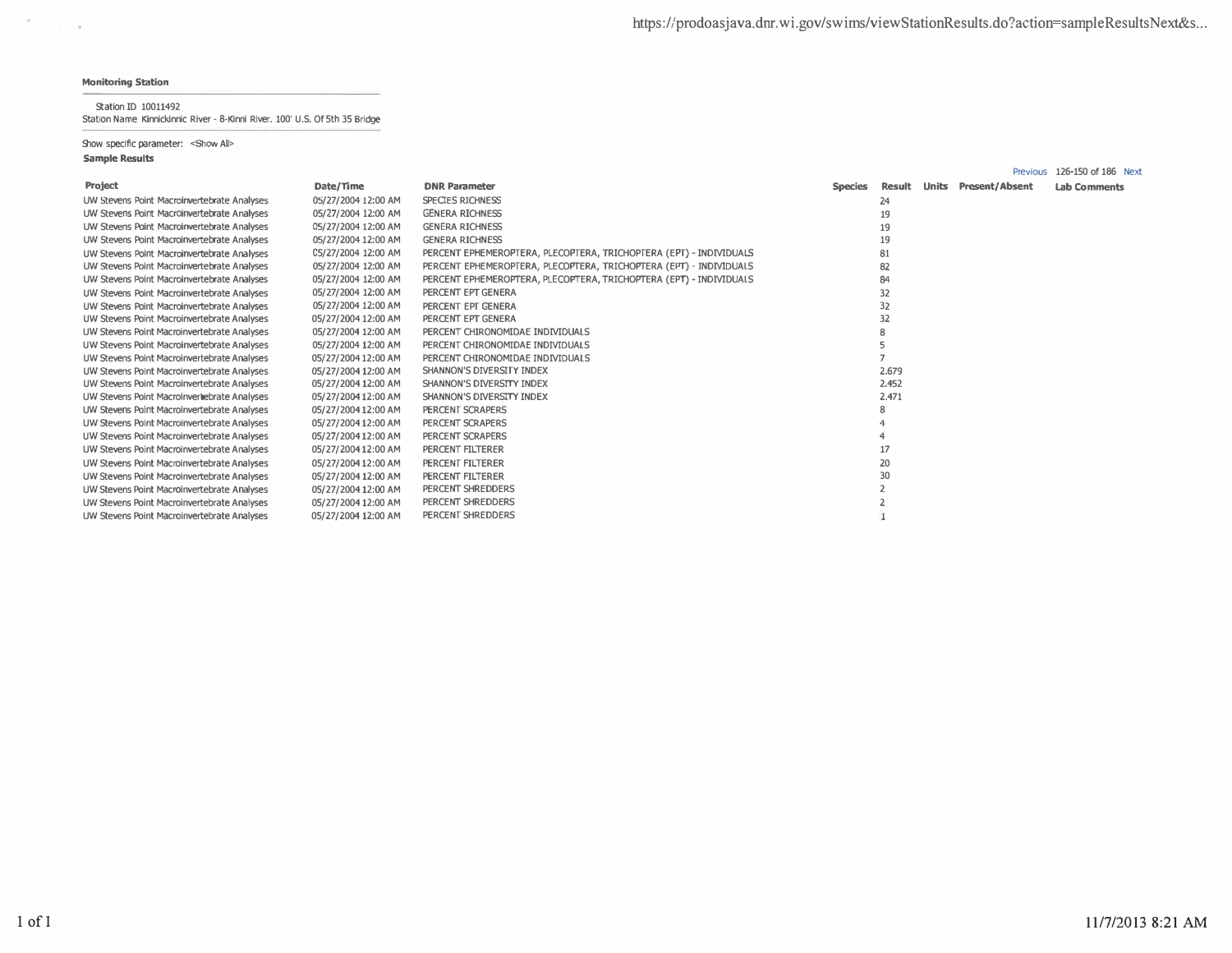$\mathcal{C}=\mathcal{C}$ 

## Station ID 10011492

Station Name Kinnickinnic River - 8-Kinni River. 100' U.S. Of 5th 35 Bridge

Show specific parameter: < Show All>

|                                             |                     |                                                                    |                |              | <b>Previous</b>       | 126-150 of 186 Next |
|---------------------------------------------|---------------------|--------------------------------------------------------------------|----------------|--------------|-----------------------|---------------------|
| <b>Project</b>                              | Date/Time           | <b>DNR Parameter</b>                                               | <b>Species</b> | Result Units | <b>Present/Absent</b> | <b>Lab Comments</b> |
| UW Stevens Point Macroinvertebrate Analyses | 05/27/2004 12:00 AM | <b>SPECIES RICHNESS</b>                                            |                | 24           |                       |                     |
| UW Stevens Point Macroinvertebrate Analyses | 05/27/2004 12:00 AM | <b>GENERA RICHNESS</b>                                             |                | 19           |                       |                     |
| UW Stevens Point Macroinvertebrate Analyses | 05/27/2004 12:00 AM | <b>GENERA RICHNESS</b>                                             |                | 19           |                       |                     |
| UW Stevens Point Macroinvertebrate Analyses | 05/27/2004 12:00 AM | <b>GENERA RICHNESS</b>                                             |                | 19           |                       |                     |
| UW Stevens Point Macroinvertebrate Analyses | C5/27/2004 12:00 AM | PERCENT EPHEMEROPTERA, PLECOPTERA, TRICHOPTERA (EPT) - INDIVIDUALS |                | 81           |                       |                     |
| UW Stevens Point Macroinvertebrate Analyses | 05/27/2004 12:00 AM | PERCENT EPHEMEROPTERA, PLECOPTERA, TRICHOPTERA (EPT) - INDIVIDUALS |                | 82           |                       |                     |
| UW Stevens Point Macroinvertebrate Analyses | 05/27/2004 12:00 AM | PERCENT EPHEMEROPTERA, PLECOPTERA, TRICHOPTERA (EPT) - INDIVIDUALS |                | 84           |                       |                     |
| UW Stevens Point Macroinvertebrate Analyses | 05/27/2004 12:00 AM | PERCENT EPT GENERA                                                 |                | 32           |                       |                     |
| UW Stevens Point Macroinvertebrate Analyses | 05/27/2004 12:00 AM | PERCENT EPT GENERA                                                 |                | 32           |                       |                     |
| UW Stevens Point Macroinvertebrate Analyses | 05/27/2004 12:00 AM | PERCENT EPT GENERA                                                 |                | 32           |                       |                     |
| UW Stevens Point Macroinvertebrate Analyses | 05/27/2004 12:00 AM | PERCENT CHIRONOMIDAE INDIVIDUALS                                   |                |              |                       |                     |
| UW Stevens Point Macroinvertebrate Analyses | 05/27/2004 12:00 AM | PERCENT CHIRONOMIDAE INDIVIDUALS                                   |                |              |                       |                     |
| UW Stevens Point Macroinvertebrate Analyses | 05/27/2004 12:00 AM | PERCENT CHIRONOMIDAE INDIVIDUALS                                   |                |              |                       |                     |
| UW Stevens Point Macroinvertebrate Analyses | 05/27/2004 12:00 AM | SHANNON'S DIVERSITY INDEX                                          |                | 2.679        |                       |                     |
| UW Stevens Point Macroinvertebrate Analyses | 05/27/2004 12:00 AM | SHANNON'S DIVERSITY INDEX                                          |                | 2.452        |                       |                     |
| UW Stevens Point Macroinvertebrate Analyses | 05/27/2004 12:00 AM | SHANNON'S DIVERSITY INDEX                                          |                | 2.471        |                       |                     |
| UW Stevens Point Macroinvertebrate Analyses | 05/27/2004 12:00 AM | PERCENT SCRAPERS                                                   |                |              |                       |                     |
| UW Stevens Point Macroinvertebrate Analyses | 05/27/2004 12:00 AM | PERCENT SCRAPERS                                                   |                |              |                       |                     |
| UW Stevens Point Macroinvertebrate Analyses | 05/27/2004 12:00 AM | <b>PERCENT SCRAPERS</b>                                            |                |              |                       |                     |
| UW Stevens Point Macroinvertebrate Analyses | 05/27/2004 12:00 AM | PERCENT FILTERER                                                   |                | 17           |                       |                     |
| UW Stevens Point Macroinvertebrate Analyses | 05/27/2004 12:00 AM | PERCENT FILTERER                                                   |                | 20           |                       |                     |
| UW Stevens Point Macroinvertebrate Analyses | 05/27/2004 12:00 AM | PERCENT FILTERER                                                   |                | 30           |                       |                     |
| UW Stevens Point Macroinvertebrate Analyses | 05/27/2004 12:00 AM | PERCENT SHREDDERS                                                  |                |              |                       |                     |
| UW Stevens Point Macroinvertebrate Analyses | 05/27/2004 12:00 AM | PERCENT SHREDDERS                                                  |                |              |                       |                     |
| UW Stevens Point Macroinvertebrate Analyses | 05/27/2004 12:00 AM | PERCENT SHREDDERS                                                  |                |              |                       |                     |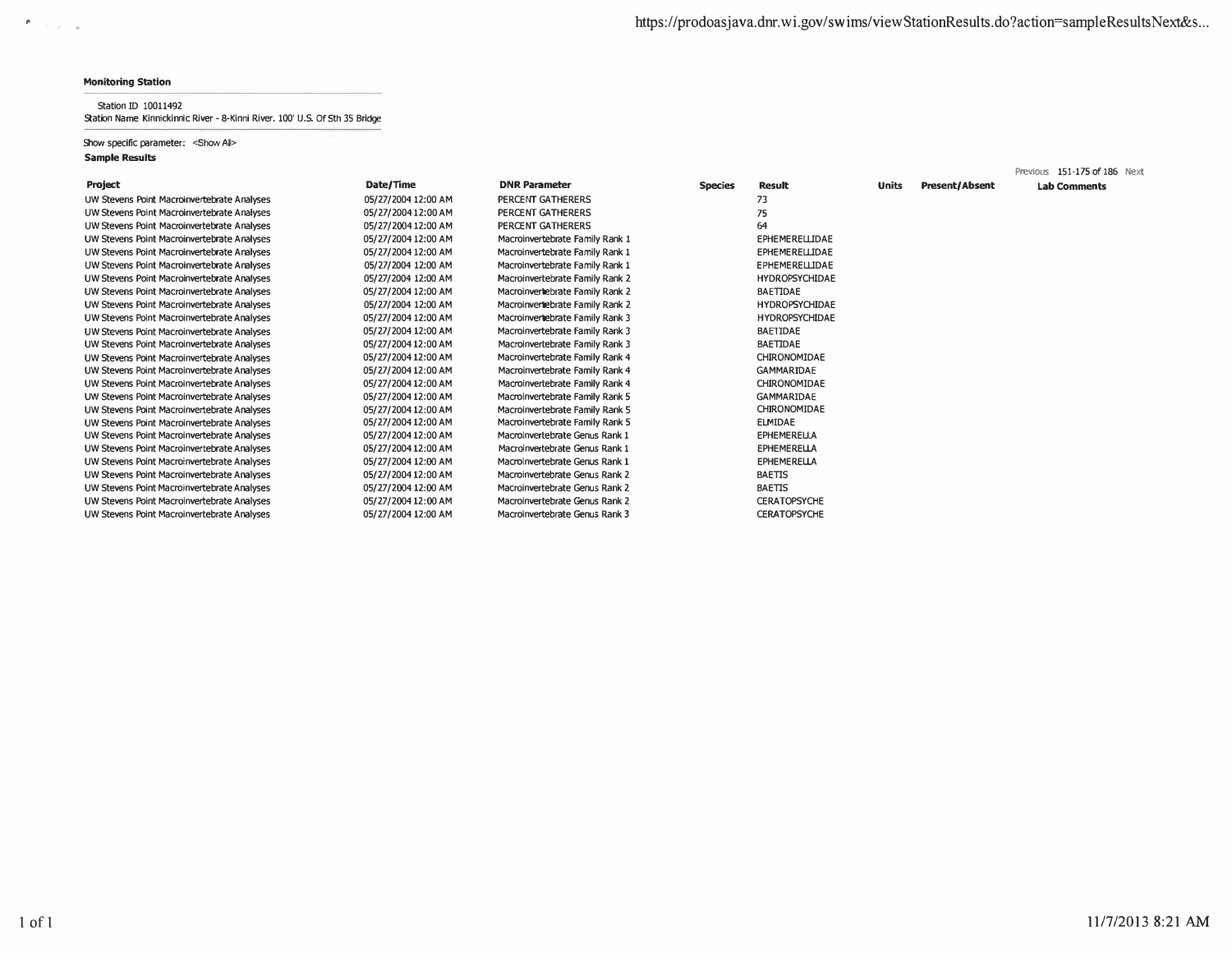$x$  and  $y$ 

### Station ID 10011492 Station Name Kinnickinnic River - 8-Kinni River. 100' U.S. Of 5th 35 Bridge

## Show specific parameter: <Show All>

|                                             |                     |                                 |                |                       |              |                       | Previous 151-175 of 186 Next |
|---------------------------------------------|---------------------|---------------------------------|----------------|-----------------------|--------------|-----------------------|------------------------------|
| Project                                     | Date/Time           | <b>DNR Parameter</b>            | <b>Species</b> | <b>Result</b>         | <b>Units</b> | <b>Present/Absent</b> | <b>Lab Comments</b>          |
| UW Stevens Point Macroinvertebrate Analyses | 05/27/2004 12:00 AM | PERCENT GATHERERS               |                | 73                    |              |                       |                              |
| UW Stevens Point Macroinvertebrate Analyses | 05/27/2004 12:00 AM | PERCENT GATHERERS               |                | 75                    |              |                       |                              |
| UW Stevens Point Macroinvertebrate Analyses | 05/27/2004 12:00 AM | PERCENT GATHERERS               |                | 64                    |              |                       |                              |
| UW Stevens Point Macroinvertebrate Analyses | 05/27/2004 12:00 AM | Macroinvertebrate Family Rank 1 |                | <b>EPHEMERELLIDAE</b> |              |                       |                              |
| UW Stevens Point Macroinvertebrate Analyses | 05/27/2004 12:00 AM | Macroinvertebrate Family Rank 1 |                | <b>EPHEMERELLIDAE</b> |              |                       |                              |
| UW Stevens Point Macroinvertebrate Analyses | 05/27/2004 12:00 AM | Macroinvertebrate Family Rank 1 |                | <b>EPHEMERELLIDAE</b> |              |                       |                              |
| UW Stevens Point Macroinvertebrate Analyses | 05/27/2004 12:00 AM | Macroinvertebrate Family Rank 2 |                | <b>HYDROPSYCHIDAE</b> |              |                       |                              |
| UW Stevens Point Macroinvertebrate Analyses | 05/27/2004 12:00 AM | Macroinverhebrate Family Rank 2 |                | BAETIDAE              |              |                       |                              |
| UW Stevens Point Macroinvertebrate Analyses | 05/27/2004 12:00 AM | Macroinvertebrate Family Rank 2 |                | <b>HYDROPSYCHIDAE</b> |              |                       |                              |
| UW Stevens Point Macroinvertebrate Analyses | 05/27/2004 12:00 AM | Macroinvertebrate Family Rank 3 |                | <b>HYDROPSYCHIDAE</b> |              |                       |                              |
| UW Stevens Point Macroinvertebrate Analyses | 05/27/2004 12:00 AM | Macroinvertebrate Family Rank 3 |                | BAETIDAE              |              |                       |                              |
| UW Stevens Point Macroinvertebrate Analyses | 05/27/2004 12:00 AM | Macroinvertebrate Family Rank 3 |                | BAETIDAE              |              |                       |                              |
| UW Stevens Point Macroinvertebrate Analyses | 05/27/2004 12:00 AM | Macroinvertebrate Family Rank 4 |                | CHIRONOMIDAE          |              |                       |                              |
| UW Stevens Point Macroinvertebrate Analyses | 05/27/2004 12:00 AM | Macroinvertebrate Family Rank 4 |                | <b>GAMMARIDAE</b>     |              |                       |                              |
| UW Stevens Point Macroinvertebrate Analyses | 05/27/2004 12:00 AM | Macroinvertebrate Family Rank 4 |                | CHIRONOMIDAE          |              |                       |                              |
| UW Stevens Point Macroinvertebrate Analyses | 05/27/2004 12:00 AM | Macroinvertebrate Family Rank 5 |                | <b>GAMMARIDAE</b>     |              |                       |                              |
| UW Stevens Point Macroinvertebrate Analyses | 05/27/2004 12:00 AM | Macroinvertebrate Family Rank 5 |                | CHIRONOMIDAE          |              |                       |                              |
| UW Stevens Point Macroinvertebrate Analyses | 05/27/2004 12:00 AM | Macroinvertebrate Family Rank 5 |                | <b>ELMIDAE</b>        |              |                       |                              |
| UW Stevens Point Macroinvertebrate Analyses | 05/27/2004 12:00 AM | Macroinvertebrate Genus Rank 1  |                | <b>EPHEMERELLA</b>    |              |                       |                              |
| UW Stevens Point Macroinvertebrate Analyses | 05/27/2004 12:00 AM | Macroinvertebrate Genus Rank 1  |                | <b>EPHEMERELLA</b>    |              |                       |                              |
| UW Stevens Point Macroinvertebrate Analyses | 05/27/2004 12:00 AM | Macroinvertebrate Genus Rank 1  |                | <b>EPHEMERELLA</b>    |              |                       |                              |
| UW Stevens Point Macroinvertebrate Analyses | 05/27/2004 12:00 AM | Macroinvertebrate Genus Rank 2  |                | BAETIS                |              |                       |                              |
| UW Stevens Point Macroinvertebrate Analyses | 05/27/2004 12:00 AM | Macroinvertebrate Genus Rank 2  |                | BAETIS                |              |                       |                              |
| UW Stevens Point Macroinvertebrate Analyses | 05/27/2004 12:00 AM | Macroinvertebrate Genus Rank 2  |                | <b>CERATOPSYCHE</b>   |              |                       |                              |
| UW Stevens Point Macroinvertebrate Analyses | 05/27/2004 12:00 AM | Macroinvertebrate Genus Rank 3  |                | <b>CERATOPSYCHE</b>   |              |                       |                              |
|                                             |                     |                                 |                |                       |              |                       |                              |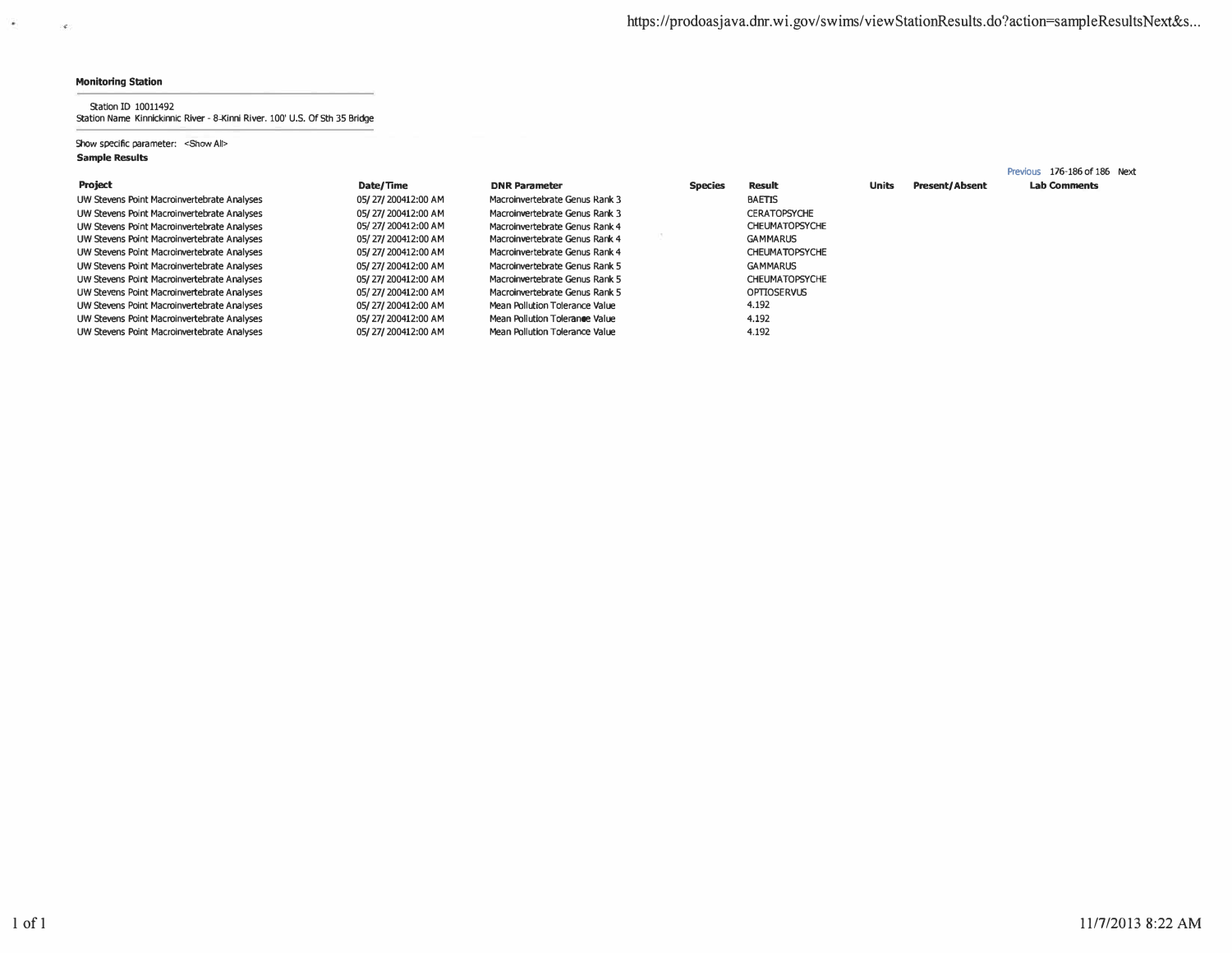$\bullet$ 

 $\langle \mathcal{L} \rangle$ 

#### Station ID 10011492 Station Name Kinnickinnic River - 8-Kinni River. 100' U.S. Of 5th 35 Bridge

### Show specific parameter: <Show All> **Sample Results**

|                                             |                    |                                |                |                       |              |                       | Previous 176-186 of 186 Next |
|---------------------------------------------|--------------------|--------------------------------|----------------|-----------------------|--------------|-----------------------|------------------------------|
| <b>Project</b>                              | Date/Time          | <b>DNR Parameter</b>           | <b>Species</b> | <b>Result</b>         | <b>Units</b> | <b>Present/Absent</b> | <b>Lab Comments</b>          |
| UW Stevens Point Macroinvertebrate Analyses | 05/27/200412:00 AM | Macroinvertebrate Genus Rank 3 |                | <b>BAETIS</b>         |              |                       |                              |
| UW Stevens Point Macroinvertebrate Analyses | 05/27/200412:00 AM | Macroinvertebrate Genus Rank 3 |                | <b>CERATOPSYCHE</b>   |              |                       |                              |
| UW Stevens Point Macroinvertebrate Analyses | 05/27/200412:00 AM | Macroinvertebrate Genus Rank 4 |                | <b>CHEUMATOPSYCHE</b> |              |                       |                              |
| UW Stevens Point Macroinvertebrate Analyses | 05/27/200412:00 AM | Macroinvertebrate Genus Rank 4 |                | <b>GAMMARUS</b>       |              |                       |                              |
| UW Stevens Point Macroinvertebrate Analyses | 05/27/200412:00 AM | Macroinvertebrate Genus Rank 4 |                | <b>CHEUMATOPSYCHE</b> |              |                       |                              |
| UW Stevens Point Macroinvertebrate Analyses | 05/27/200412:00 AM | Macroinvertebrate Genus Rank 5 |                | <b>GAMMARUS</b>       |              |                       |                              |
| UW Stevens Point Macroinvertebrate Analyses | 05/27/200412:00 AM | Macroinvertebrate Genus Rank 5 |                | <b>CHEUMATOPSYCHE</b> |              |                       |                              |
| UW Stevens Point Macroinvertebrate Analyses | 05/27/200412:00 AM | Macroinvertebrate Genus Rank 5 |                | <b>OPTIOSERVUS</b>    |              |                       |                              |
| UW Stevens Point Macroinvertebrate Analyses | 05/27/200412:00 AM | Mean Pollution Tolerance Value |                | 4.192                 |              |                       |                              |
| UW Stevens Point Macroinvertebrate Analyses | 05/27/200412:00 AM | Mean Pollution Tolerance Value |                | 4.192                 |              |                       |                              |
| UW Stevens Point Macroinvertebrate Analyses | 05/27/200412:00 AM | Mean Pollution Tolerance Value |                | 4.192                 |              |                       |                              |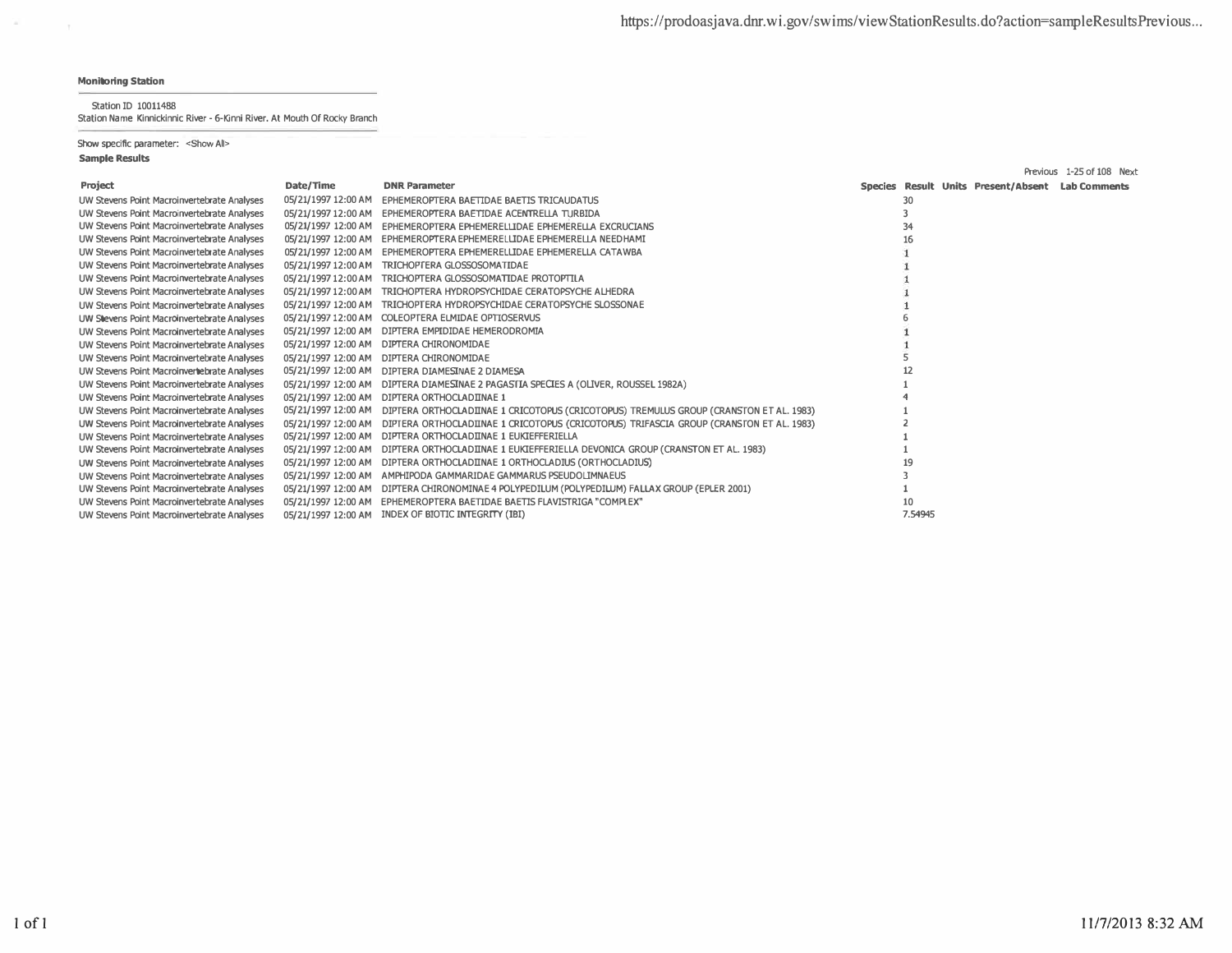$\sim$ 

Station ID 10011488

Station Name Kinnickinnic River - 6-Kinni River. At Mouth Of Rocky Branch

Show specific parameter: < Show All>

|                                             |                     |                                                                                                             |         |                                                  | Previous 1-25 of 108 Next |
|---------------------------------------------|---------------------|-------------------------------------------------------------------------------------------------------------|---------|--------------------------------------------------|---------------------------|
| Project                                     | Date/Time           | <b>DNR Parameter</b>                                                                                        |         | Species Result Units Present/Absent Lab Comments |                           |
| UW Stevens Point Macroinvertebrate Analyses | 05/21/1997 12:00 AM | EPHEMEROPTERA BAETIDAE BAETIS TRICAUDATUS                                                                   | 30      |                                                  |                           |
| UW Stevens Point Macroinvertebrate Analyses |                     | 05/21/1997 12:00 AM EPHEMEROPTERA BAETIDAE ACENTRELLA TURBIDA                                               |         |                                                  |                           |
| UW Stevens Point Macroinvertebrate Analyses |                     | 05/21/1997 12:00 AM EPHEMEROPTERA EPHEMERELLIDAE EPHEMERELLA EXCRUCIANS                                     | 34      |                                                  |                           |
| UW Stevens Point Macroinvertebrate Analyses | 05/21/1997 12:00 AM | EPHEMEROPTERA EPHEMERELLIDAE EPHEMERELLA NEEDHAMI                                                           | 16      |                                                  |                           |
| UW Stevens Point Macroinvertebrate Analyses | 05/21/1997 12:00 AM | EPHEMEROPTERA EPHEMERELLIDAE EPHEMERELLA CATAWBA                                                            |         |                                                  |                           |
| UW Stevens Point Macroinvertebrate Analyses | 05/21/1997 12:00 AM | TRICHOPTERA GLOSSOSOMATIDAE                                                                                 |         |                                                  |                           |
| UW Stevens Point Macroinvertebrate Analyses | 05/21/1997 12:00 AM | TRICHOPTERA GLOSSOSOMATIDAE PROTOPTILA                                                                      |         |                                                  |                           |
| UW Stevens Point Macroinvertebrate Analyses |                     | 05/21/1997 12:00 AM TRICHOPTERA HYDROPSYCHIDAE CERATOPSYCHE ALHEDRA                                         |         |                                                  |                           |
| UW Stevens Point Macroinvertebrate Analyses | 05/21/1997 12:00 AM | TRICHOPTERA HYDROPSYCHIDAE CERATOPSYCHE SLOSSONAE                                                           |         |                                                  |                           |
| UW Stevens Point Macroinvertebrate Analyses |                     | 05/21/1997 12:00 AM COLEOPTERA ELMIDAE OPTIOSERVUS                                                          |         |                                                  |                           |
| UW Stevens Point Macroinvertebrate Analyses | 05/21/1997 12:00 AM | DIPTERA EMPIDIDAE HEMERODROMIA                                                                              |         |                                                  |                           |
| UW Stevens Point Macroinvertebrate Analyses | 05/21/1997 12:00 AM | DIPTERA CHIRONOMIDAE                                                                                        |         |                                                  |                           |
| UW Stevens Point Macroinvertebrate Analyses | 05/21/1997 12:00 AM | DIPTERA CHIRONOMIDAE                                                                                        |         |                                                  |                           |
| UW Stevens Point Macroinverhebrate Analyses | 05/21/1997 12:00 AM | DIPTERA DIAMESINAE 2 DIAMESA                                                                                |         |                                                  |                           |
| UW Stevens Point Macroinvertebrate Analyses |                     | 05/21/1997 12:00 AM DIPTERA DIAMESINAE 2 PAGASITA SPECIES A (OLIVER, ROUSSEL 1982A)                         |         |                                                  |                           |
| UW Stevens Point Macroinvertebrate Analyses |                     | 05/21/1997 12:00 AM DIPTERA ORTHOCLADIINAE 1                                                                |         |                                                  |                           |
| UW Stevens Point Macroinvertebrate Analyses |                     | 05/21/1997 12:00 AM DIPTERA ORTHOCLADIINAE 1 CRICOTOPUS (CRICOTOPUS) TREMULUS GROUP (CRANSTON ET AL. 1983)  |         |                                                  |                           |
| UW Stevens Point Macroinvertebrate Analyses |                     | 05/21/1997 12:00 AM DIPTERA ORTHOCLADIINAE 1 CRICOTOPUS (CRICOTOPUS) TRIFASCIA GROUP (CRANSTON ET AL. 1983) |         |                                                  |                           |
| UW Stevens Point Macroinvertebrate Analyses |                     | 05/21/1997 12:00 AM DIPTERA ORTHOCLADIINAE 1 EUKIEFFERIELLA                                                 |         |                                                  |                           |
| UW Stevens Point Macroinvertebrate Analyses |                     | 05/21/1997 12:00 AM DIPTERA ORTHOCLADIINAE 1 EUKIEFFERIELLA DEVONICA GROUP (CRANSTON ET AL. 1983)           |         |                                                  |                           |
| UW Stevens Point Macroinvertebrate Analyses | 05/21/1997 12:00 AM | DIPTERA ORTHOCLADIINAE 1 ORTHOCLADIUS (ORTHOCLADIUS)                                                        |         |                                                  |                           |
| UW Stevens Point Macroinvertebrate Analyses |                     | 05/21/1997 12:00 AM AMPHIPODA GAMMARIDAE GAMMARUS PSEUDOLIMNAEUS                                            |         |                                                  |                           |
| UW Stevens Point Macroinvertebrate Analyses |                     | 05/21/1997 12:00 AM DIPTERA CHIRONOMINAE 4 POLYPEDILUM (POLYPEDILUM) FALLAX GROUP (EPLER 2001)              |         |                                                  |                           |
| UW Stevens Point Macroinvertebrate Analyses |                     | 05/21/1997 12:00 AM EPHEMEROPTERA BAETIDAE BAETIS FLAVISTRIGA "COMPLEX"                                     | 10      |                                                  |                           |
| UW Stevens Point Macroinvertebrate Analyses | 05/21/1997 12:00 AM | INDEX OF BIOTIC INTEGRITY (IBI)                                                                             | 7.54945 |                                                  |                           |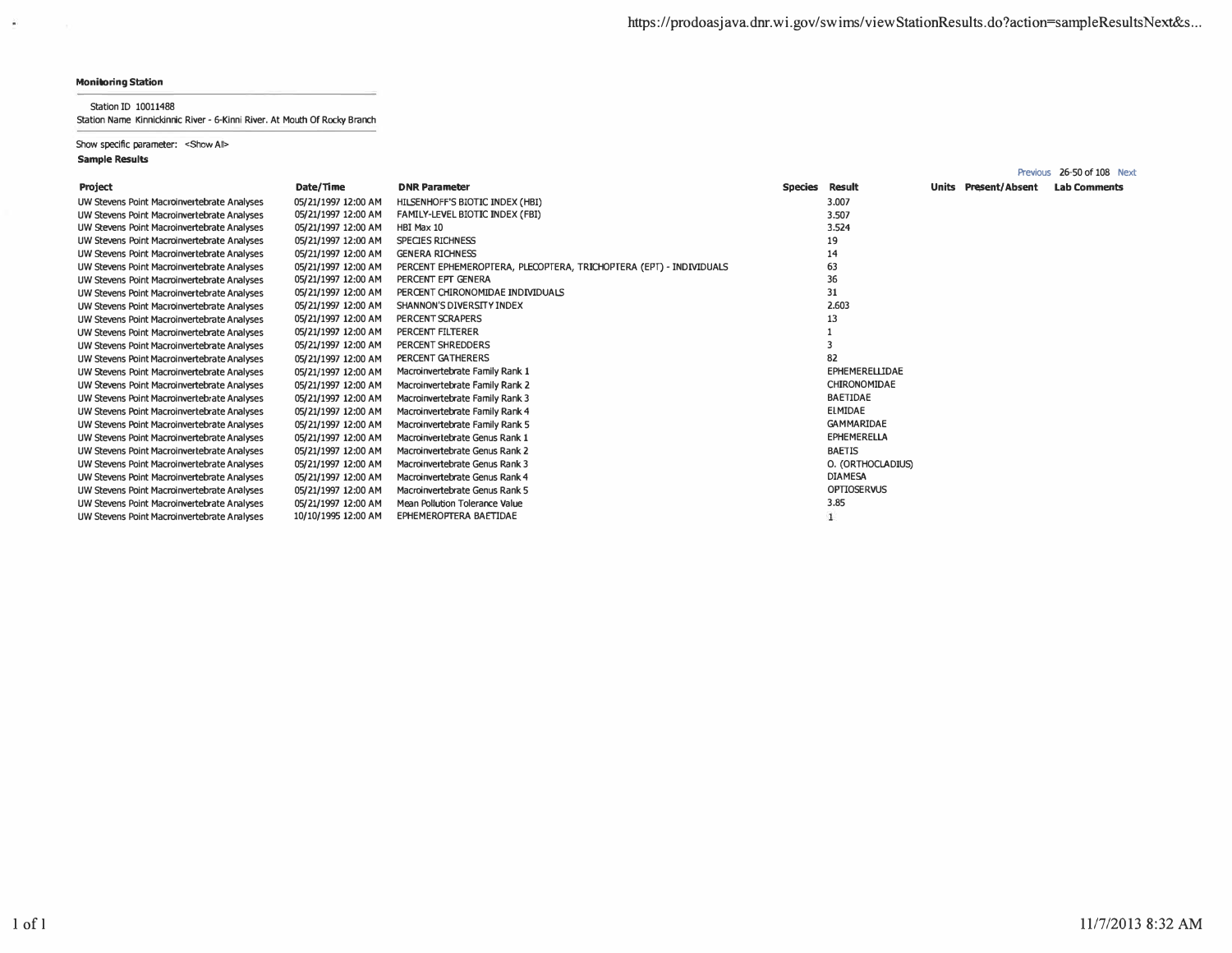Previous 26-50 of 108 Next

## **Monitoring Station**

 $\mathcal{L}$ 

Station ID 10011488

Station Name Kinnickinnic River - 6-Kinni River. At Mouth Of Rocky Branch

Show specific parameter: < Show All> **Sample Results** 

| Project                                     | Date/Time           | <b>DNR Parameter</b>                                               | Species | Result                | <b>Units Present/Absent</b> | <b>Lab Comments</b> |
|---------------------------------------------|---------------------|--------------------------------------------------------------------|---------|-----------------------|-----------------------------|---------------------|
| UW Stevens Point Macroinvertebrate Analyses | 05/21/1997 12:00 AM | HILSENHOFF'S BIOTIC INDEX (HBI)                                    |         | 3.007                 |                             |                     |
| UW Stevens Point Macroinvertebrate Analyses | 05/21/1997 12:00 AM | FAMILY-LEVEL BIOTIC INDEX (FBI)                                    |         | 3.507                 |                             |                     |
| UW Stevens Point Macroinvertebrate Analyses | 05/21/1997 12:00 AM | HBI Max 10                                                         |         | 3.524                 |                             |                     |
| UW Stevens Point Macroinvertebrate Analyses | 05/21/1997 12:00 AM | <b>SPECIES RICHNESS</b>                                            |         | 19                    |                             |                     |
| UW Stevens Point Macroinvertebrate Analyses | 05/21/1997 12:00 AM | <b>GENERA RICHNESS</b>                                             |         | 14                    |                             |                     |
| UW Stevens Point Macroinvertebrate Analyses | 05/21/1997 12:00 AM | PERCENT EPHEMEROPTERA, PLECOPTERA, TRICHOPTERA (EPT) - INDIVIDUALS |         | 63                    |                             |                     |
| UW Stevens Point Macroinvertebrate Analyses | 05/21/1997 12:00 AM | PERCENT EPT GENERA                                                 |         | 36                    |                             |                     |
| UW Stevens Point Macroinvertebrate Analyses | 05/21/1997 12:00 AM | PERCENT CHIRONOMIDAE INDIVIDUALS                                   |         | 31                    |                             |                     |
| UW Stevens Point Macroinvertebrate Analyses | 05/21/1997 12:00 AM | SHANNON'S DIVERSITY INDEX                                          |         | 2.603                 |                             |                     |
| UW Stevens Point Macroinvertebrate Analyses | 05/21/1997 12:00 AM | PERCENT SCRAPERS                                                   |         | 13                    |                             |                     |
| UW Stevens Point Macroinvertebrate Analyses | 05/21/1997 12:00 AM | PERCENT FILTERER                                                   |         |                       |                             |                     |
| UW Stevens Point Macroinvertebrate Analyses | 05/21/1997 12:00 AM | PERCENT SHREDDERS                                                  |         |                       |                             |                     |
| UW Stevens Point Macroinvertebrate Analyses | 05/21/1997 12:00 AM | PERCENT GATHERERS                                                  |         | 82                    |                             |                     |
| UW Stevens Point Macroinvertebrate Analyses | 05/21/1997 12:00 AM | Macroinvertebrate Family Rank 1                                    |         | <b>EPHEMERELLIDAE</b> |                             |                     |
| UW Stevens Point Macroinvertebrate Analyses | 05/21/1997 12:00 AM | Macroinvertebrate Family Rank 2                                    |         | CHIRONOMIDAE          |                             |                     |
| UW Stevens Point Macroinvertebrate Analyses | 05/21/1997 12:00 AM | Macroinvertebrate Family Rank 3                                    |         | <b>BAETIDAE</b>       |                             |                     |
| UW Stevens Point Macroinvertebrate Analyses | 05/21/1997 12:00 AM | Macroinvertebrate Family Rank 4                                    |         | ELMIDAE               |                             |                     |
| UW Stevens Point Macroinvertebrate Analyses | 05/21/1997 12:00 AM | Macroinvertebrate Family Rank 5                                    |         | <b>GAMMARIDAE</b>     |                             |                     |
| UW Stevens Point Macroinvertebrate Analyses | 05/21/1997 12:00 AM | Macroinvertebrate Genus Rank 1                                     |         | <b>EPHEMERELLA</b>    |                             |                     |
| UW Stevens Point Macroinvertebrate Analyses | 05/21/1997 12:00 AM | Macroinvertebrate Genus Rank 2                                     |         | <b>BAETIS</b>         |                             |                     |
| UW Stevens Point Macroinvertebrate Analyses | 05/21/1997 12:00 AM | Macroinvertebrate Genus Rank 3                                     |         | O. (ORTHOCLADIUS)     |                             |                     |
| UW Stevens Point Macroinvertebrate Analyses | 05/21/1997 12:00 AM | Macroinvertebrate Genus Rank 4                                     |         | <b>DIAMESA</b>        |                             |                     |
| UW Stevens Point Macroinvertebrate Analyses | 05/21/1997 12:00 AM | Macroinvertebrate Genus Rank 5                                     |         | <b>OPTIOSERVUS</b>    |                             |                     |
| UW Stevens Point Macroinvertebrate Analyses | 05/21/1997 12:00 AM | Mean Pollution Tolerance Value                                     |         | 3.85                  |                             |                     |
| UW Stevens Point Macroinvertebrate Analyses | 10/10/1995 12:00 AM | EPHEMEROPTERA BAETIDAE                                             |         |                       |                             |                     |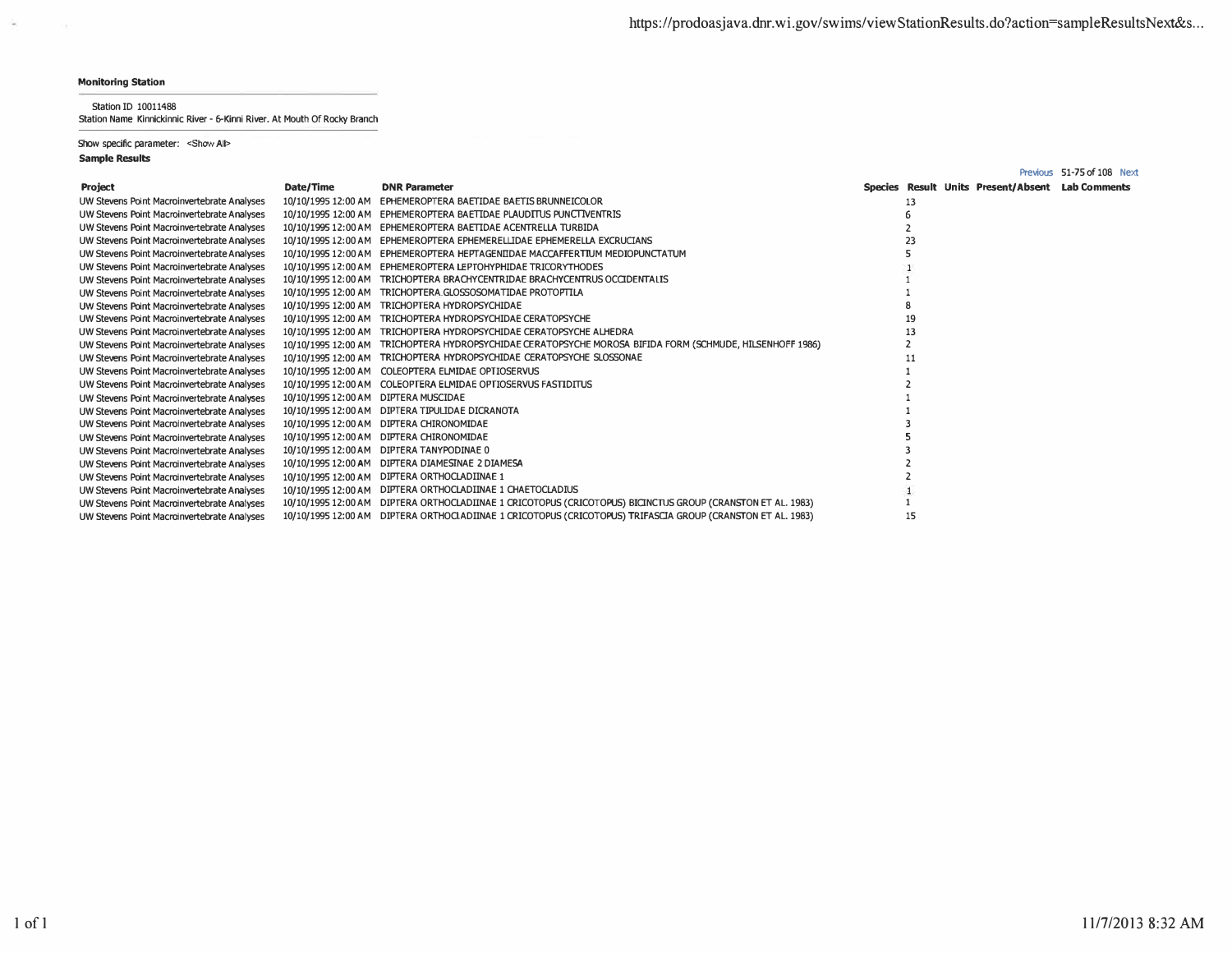$\mathcal{C}_{\mathcal{C}_{\mathcal{C}}}$ 

 $\sim 10^{-1}$ 

Station ID 10011488 Station Name Kinnickinnic River - 6-Kinni River. At Mouth Of Rocky Branch

## Show specific parameter: < Show All>

|                                             |                                      |                                                                                                             |    |                                                  | Previous 51-75 of 108 Next |
|---------------------------------------------|--------------------------------------|-------------------------------------------------------------------------------------------------------------|----|--------------------------------------------------|----------------------------|
| <b>Project</b>                              | Date/Time                            | <b>DNR Parameter</b>                                                                                        |    | Species Result Units Present/Absent Lab Comments |                            |
| UW Stevens Point Macroinvertebrate Analyses |                                      | 10/10/1995 12:00 AM EPHEMEROPTERA BAETIDAE BAETIS BRUNNEICOLOR                                              |    |                                                  |                            |
| UW Stevens Point Macroinvertebrate Analyses |                                      | 10/10/1995 12:00 AM EPHEMEROPTERA BAETIDAE PLAUDITUS PUNCTIVENTRIS                                          |    |                                                  |                            |
| UW Stevens Point Macroinvertebrate Analyses |                                      | 10/10/1995 12:00 AM EPHEMEROPTERA BAETIDAE ACENTRELLA TURBIDA                                               |    |                                                  |                            |
| UW Stevens Point Macroinvertebrate Analyses | 10/10/1995 12:00 AM                  | EPHEMEROPTERA EPHEMERELLIDAE EPHEMERELLA EXCRUCIANS                                                         |    |                                                  |                            |
| UW Stevens Point Macroinvertebrate Analyses |                                      | 10/10/1995 12:00 AM EPHEMEROPTERA HEPTAGENIIDAE MACCAFFERTIUM MEDIOPUNCTATUM                                |    |                                                  |                            |
| UW Stevens Point Macroinvertebrate Analyses |                                      | 10/10/1995 12:00 AM EPHEMEROPTERA LEPTOHYPHIDAE TRICORYTHODES                                               |    |                                                  |                            |
| UW Stevens Point Macroinvertebrate Analyses | 10/10/1995 12:00 AM                  | TRICHOPTERA BRACHYCENTRIDAE BRACHYCENTRUS OCCIDENTALIS                                                      |    |                                                  |                            |
| UW Stevens Point Macroinvertebrate Analyses |                                      | 10/10/1995 12:00 AM TRICHOPTERA GLOSSOSOMATIDAE PROTOPTILA                                                  |    |                                                  |                            |
| UW Stevens Point Macroinvertebrate Analyses |                                      | 10/10/1995 12:00 AM TRICHOPTERA HYDROPSYCHIDAE                                                              |    |                                                  |                            |
| UW Stevens Point Macroinvertebrate Analyses | 10/10/1995 12:00 AM                  | TRICHOPTERA HYDROPSYCHIDAE CERATOPSYCHE                                                                     |    |                                                  |                            |
| UW Stevens Point Macroinvertebrate Analyses |                                      | 10/10/1995 12:00 AM TRICHOPTERA HYDROPSYCHIDAE CERATOPSYCHE ALHEDRA                                         |    |                                                  |                            |
| UW Stevens Point Macroinvertebrate Analyses |                                      | 10/10/1995 12:00 AM TRICHOPTERA HYDROPSYCHIDAE CERATOPSYCHE MOROSA BIFIDA FORM (SCHMUDE, HILSENHOFF 1986)   |    |                                                  |                            |
| UW Stevens Point Macroinvertebrate Analyses |                                      | 10/10/1995 12:00 AM TRICHOPTERA HYDROPSYCHIDAE CERATOPSYCHE SLOSSONAE                                       |    |                                                  |                            |
| UW Stevens Point Macroinvertebrate Analyses |                                      | 10/10/1995 12:00 AM COLEOPTERA ELMIDAE OPTIOSERVUS                                                          |    |                                                  |                            |
| UW Stevens Point Macroinvertebrate Analyses |                                      | 10/10/1995 12:00 AM COLEOPTERA ELMIDAE OPTIOSERVUS FASTIDITUS                                               |    |                                                  |                            |
| UW Stevens Point Macroinvertebrate Analyses | 10/10/1995 12:00 AM DIPTERA MUSCIDAE |                                                                                                             |    |                                                  |                            |
| UW Stevens Point Macroinvertebrate Analyses |                                      | 10/10/1995 12:00 AM DIPTERA TIPULIDAE DICRANOTA                                                             |    |                                                  |                            |
| UW Stevens Point Macroinvertebrate Analyses |                                      | 10/10/1995 12:00 AM DIFTERA CHIRONOMIDAE                                                                    |    |                                                  |                            |
| UW Stevens Point Macroinvertebrate Analyses |                                      | 10/10/1995 12:00 AM DIFTERA CHIRONOMIDAE                                                                    |    |                                                  |                            |
| UW Stevens Point Macroinvertebrate Analyses |                                      | 10/10/1995 12:00 AM DIPTERA TANYPODINAE 0                                                                   |    |                                                  |                            |
| UW Stevens Point Macroinvertebrate Analyses |                                      | 10/10/1995 12:00 AM DIPTERA DIAMESINAE 2 DIAMESA                                                            |    |                                                  |                            |
| UW Stevens Point Macroinvertebrate Analyses |                                      | 10/10/1995 12:00 AM DIFTERA ORTHOCLADIINAE 1                                                                |    |                                                  |                            |
| UW Stevens Point Macroinvertebrate Analyses |                                      | 10/10/1995 12:00 AM DIPTERA ORTHOCLADIINAE 1 CHAETOCLADIUS                                                  |    |                                                  |                            |
| UW Stevens Point Macroinvertebrate Analyses |                                      | 10/10/1995 12:00 AM DIPTERA ORTHOCLADIINAE 1 CRICOTOPUS (CRICOTOPUS) BICINCTUS GROUP (CRANSTON ET AL. 1983) |    |                                                  |                            |
| UW Stevens Point Macroinvertebrate Analyses |                                      | 10/10/1995 12:00 AM DIPTERA ORTHOCLADIINAE 1 CRICOTOPUS (CRICOTOPUS) TRIFASCIA GROUP (CRANSTON ET AL. 1983) | 15 |                                                  |                            |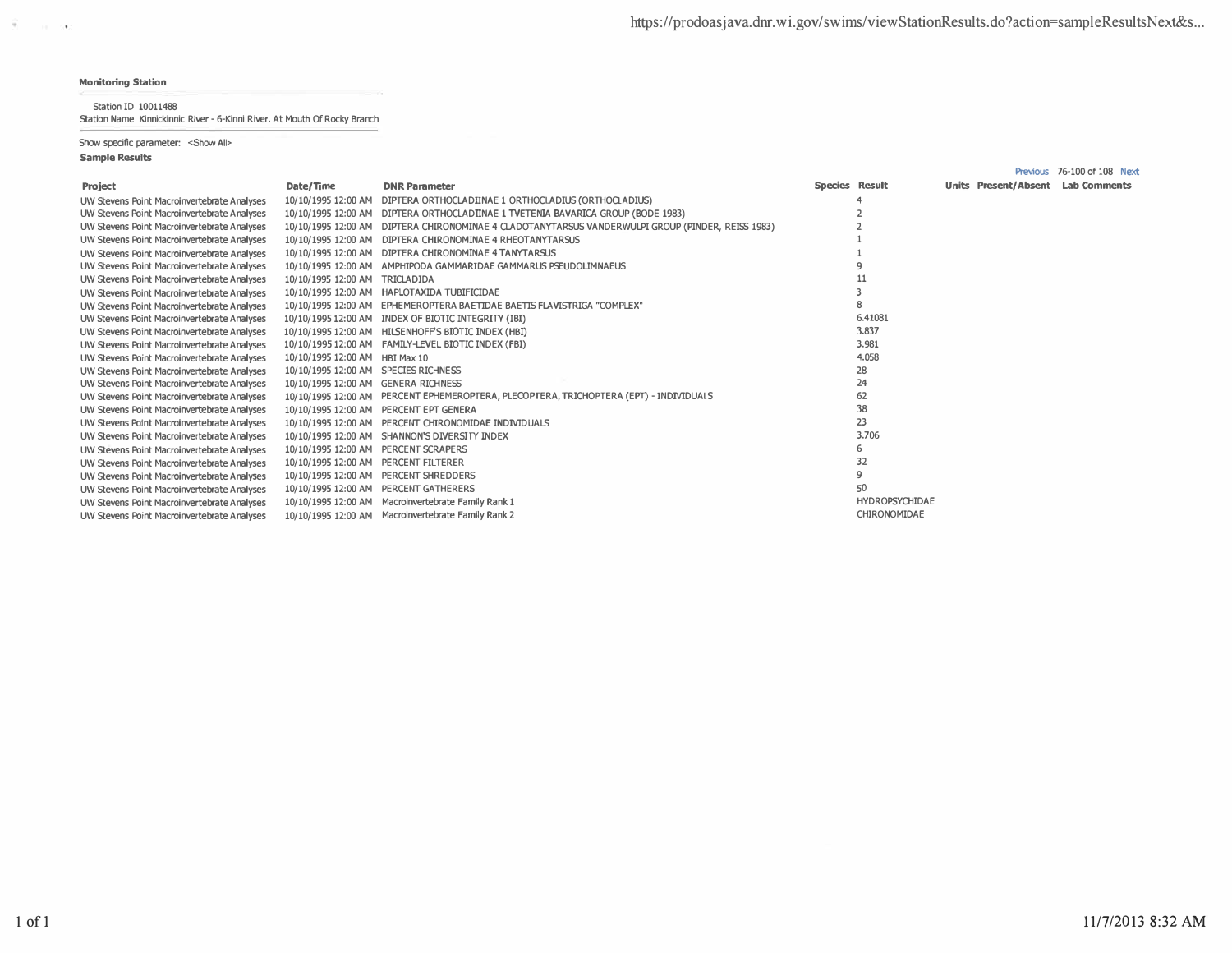$\overline{\mathcal{P}}$  , and  $\overline{\mathcal{P}}$ 

Station ID 10011488

Station Name Kinnickinnic River - 6-Kinni River. At Mouth Of Rocky Branch

Show specific parameter: < Show All>

|                                             |                                      |                                                                                                   |                |                       |                                   | Previous 76-100 of 108 Next |
|---------------------------------------------|--------------------------------------|---------------------------------------------------------------------------------------------------|----------------|-----------------------|-----------------------------------|-----------------------------|
| Project                                     | Date/Time                            | <b>DNR Parameter</b>                                                                              | Species Result |                       | Units Present/Absent Lab Comments |                             |
| UW Stevens Point Macroinvertebrate Analyses |                                      | 10/10/1995 12:00 AM DIPTERA ORTHOCLADIINAE 1 ORTHOCLADIUS (ORTHOCLADIUS)                          |                |                       |                                   |                             |
| UW Stevens Point Macroinvertebrate Analyses |                                      | 10/10/1995 12:00 AM DIPTERA ORTHOCLADIINAE 1 TVETENIA BAVARICA GROUP (BODE 1983)                  |                |                       |                                   |                             |
| UW Stevens Point Macroinvertebrate Analyses |                                      | 10/10/1995 12:00 AM DIPTERA CHIRONOMINAE 4 CLADOTANYTARSUS VANDERWULPI GROUP (PINDER, REISS 1983) |                |                       |                                   |                             |
| UW Stevens Point Macroinvertebrate Analyses | 10/10/1995 12:00 AM                  | DIPTERA CHIRONOMINAE 4 RHEOTANYTARSUS                                                             |                |                       |                                   |                             |
| UW Stevens Point Macroinvertebrate Analyses |                                      | 10/10/1995 12:00 AM DIPTERA CHIRONOMINAE 4 TANYTARSUS                                             |                |                       |                                   |                             |
| UW Stevens Point Macroinvertebrate Analyses |                                      | 10/10/1995 12:00 AM AMPHIPODA GAMMARIDAE GAMMARUS PSEUDOLIMNAEUS                                  |                |                       |                                   |                             |
| UW Stevens Point Macroinvertebrate Analyses | 10/10/1995 12:00 AM TRICLADIDA       |                                                                                                   |                |                       |                                   |                             |
| UW Stevens Point Macroinvertebrate Analyses |                                      | 10/10/1995 12:00 AM HAPLOTAXIDA TUBIFICIDAE                                                       |                |                       |                                   |                             |
| UW Stevens Point Macroinvertebrate Analyses |                                      | 10/10/1995 12:00 AM EPHEMEROPTERA BAETIDAE BAETIS FLAVISTRIGA "COMPLEX"                           |                |                       |                                   |                             |
| UW Stevens Point Macroinvertebrate Analyses |                                      | 10/10/1995 12:00 AM INDEX OF BIOTIC INTEGRITY (IBI)                                               |                | 6.41081               |                                   |                             |
| UW Stevens Point Macroinvertebrate Analyses |                                      | 10/10/1995 12:00 AM HILSENHOFF'S BIOTIC INDEX (HBI)                                               |                | 3.837                 |                                   |                             |
| UW Stevens Point Macroinvertebrate Analyses |                                      | 10/10/1995 12:00 AM FAMILY-LEVEL BIOTIC INDEX (FBI)                                               |                | 3.981                 |                                   |                             |
| UW Stevens Point Macroinvertebrate Analyses | 10/10/1995 12:00 AM HBI Max 10       |                                                                                                   |                | 4.058                 |                                   |                             |
| UW Stevens Point Macroinvertebrate Analyses | 10/10/1995 12:00 AM SPECIES RICHNESS |                                                                                                   |                | 28                    |                                   |                             |
| UW Stevens Point Macroinvertebrate Analyses | 10/10/1995 12:00 AM GENERA RICHNESS  |                                                                                                   |                | 24                    |                                   |                             |
| UW Stevens Point Macroinvertebrate Analyses |                                      | 10/10/1995 12:00 AM PERCENT EPHEMEROPTERA, PLECOPTERA, TRICHOPTERA (EPT) - INDIVIDUALS            |                | 62                    |                                   |                             |
| UW Stevens Point Macroinvertebrate Analyses |                                      | 10/10/1995 12:00 AM PERCENT EPT GENERA                                                            |                | 38                    |                                   |                             |
| UW Stevens Point Macroinvertebrate Analyses |                                      | 10/10/1995 12:00 AM PERCENT CHIRONOMIDAE INDIVIDUALS                                              |                | 23                    |                                   |                             |
| UW Stevens Point Macroinvertebrate Analyses |                                      | 10/10/1995 12:00 AM SHANNON'S DIVERSITY INDEX                                                     |                | 3.706                 |                                   |                             |
| UW Stevens Point Macroinvertebrate Analyses | 10/10/1995 12:00 AM PERCENT SCRAPERS |                                                                                                   |                | 6                     |                                   |                             |
| UW Stevens Point Macroinvertebrate Analyses | 10/10/1995 12:00 AM PERCENT FILTERER |                                                                                                   |                | 32                    |                                   |                             |
| UW Stevens Point Macroinvertebrate Analyses |                                      | 10/10/1995 12:00 AM PERCENT SHREDDERS                                                             |                | q                     |                                   |                             |
| UW Stevens Point Macroinvertebrate Analyses |                                      | 10/10/1995 12:00 AM PERCENT GATHERERS                                                             |                | 50                    |                                   |                             |
| UW Stevens Point Macroinvertebrate Analyses |                                      | 10/10/1995 12:00 AM Macroinvertebrate Family Rank 1                                               |                | <b>HYDROPSYCHIDAE</b> |                                   |                             |
| UW Stevens Point Macroinvertebrate Analyses |                                      | 10/10/1995 12:00 AM Macroinvertebrate Family Rank 2                                               |                | CHIRONOMIDAE          |                                   |                             |